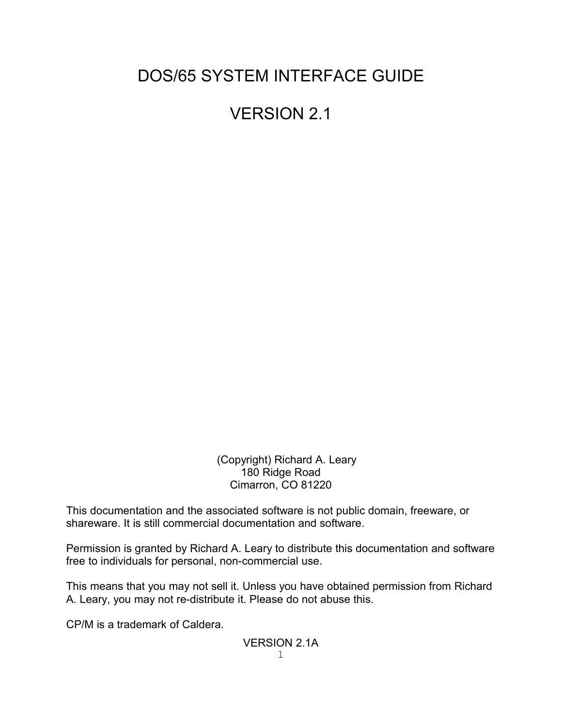# DOS/65 SYSTEM INTERFACE GUIDE

# VERSION 2.1

 (Copyright) Richard A. Leary 180 Ridge Road Cimarron, CO 81220

This documentation and the associated software is not public domain, freeware, or shareware. It is still commercial documentation and software.

Permission is granted by Richard A. Leary to distribute this documentation and software free to individuals for personal, non-commercial use.

This means that you may not sell it. Unless you have obtained permission from Richard A. Leary, you may not re-distribute it. Please do not abuse this.

CP/M is a trademark of Caldera.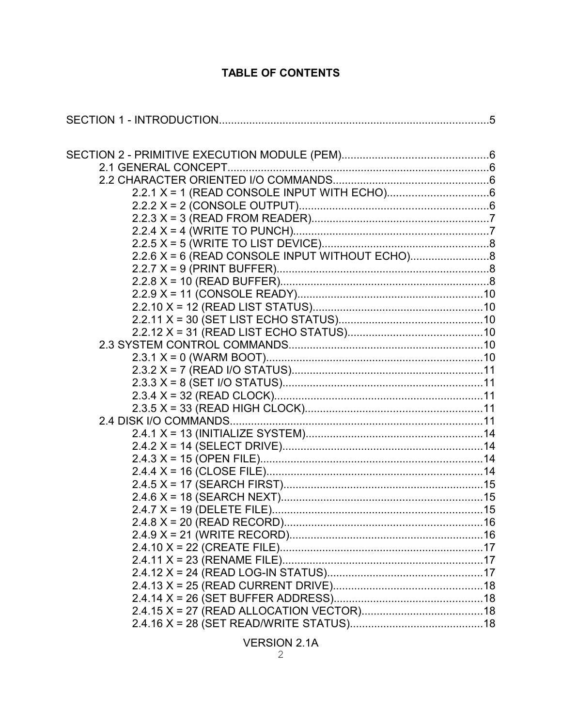## **TABLE OF CONTENTS**

| $2.2.6$ X = 6 (READ CONSOLE INPUT WITHOUT ECHO) |  |
|-------------------------------------------------|--|
|                                                 |  |
|                                                 |  |
|                                                 |  |
|                                                 |  |
|                                                 |  |
|                                                 |  |
|                                                 |  |
|                                                 |  |
|                                                 |  |
|                                                 |  |
|                                                 |  |
|                                                 |  |
|                                                 |  |
|                                                 |  |
|                                                 |  |
|                                                 |  |
|                                                 |  |
|                                                 |  |
|                                                 |  |
|                                                 |  |
|                                                 |  |
|                                                 |  |
|                                                 |  |
|                                                 |  |
|                                                 |  |
|                                                 |  |
|                                                 |  |
|                                                 |  |
|                                                 |  |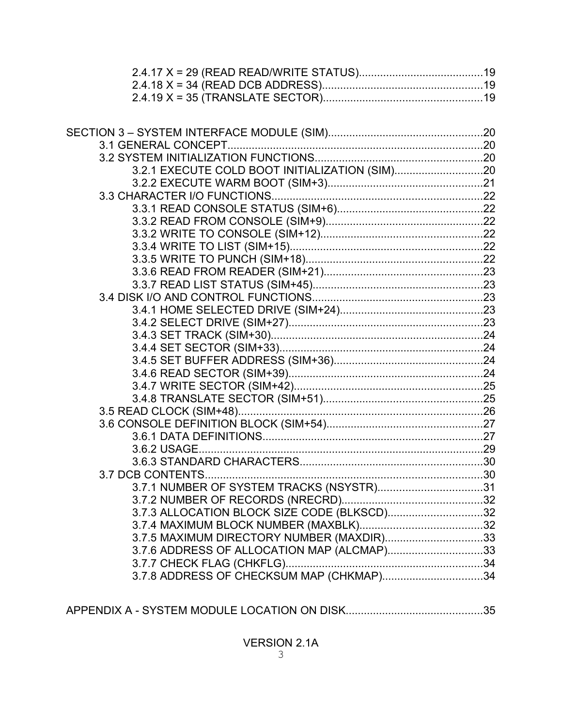| 3.2.1 EXECUTE COLD BOOT INITIALIZATION (SIM)20 |  |
|------------------------------------------------|--|
|                                                |  |
|                                                |  |
|                                                |  |
|                                                |  |
|                                                |  |
|                                                |  |
|                                                |  |
|                                                |  |
|                                                |  |
|                                                |  |
|                                                |  |
|                                                |  |
|                                                |  |
|                                                |  |
|                                                |  |
|                                                |  |
|                                                |  |
|                                                |  |
|                                                |  |
|                                                |  |
|                                                |  |
|                                                |  |
|                                                |  |
|                                                |  |
| 3.7.1 NUMBER OF SYSTEM TRACKS (NSYSTR)31       |  |
|                                                |  |
| 3.7.3 ALLOCATION BLOCK SIZE CODE (BLKSCD)32    |  |
|                                                |  |
| 3.7.5 MAXIMUM DIRECTORY NUMBER (MAXDIR)33      |  |
| 3.7.6 ADDRESS OF ALLOCATION MAP (ALCMAP)33     |  |
|                                                |  |
| 3.7.8 ADDRESS OF CHECKSUM MAP (CHKMAP)34       |  |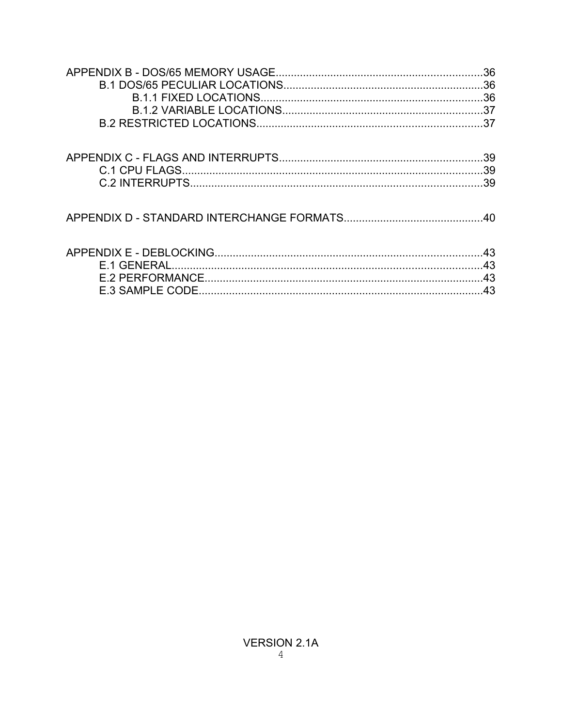| .36 |
|-----|
| .37 |
| .39 |
| .39 |
| .39 |
| 40  |
| .43 |
| 43  |
| .43 |
| .43 |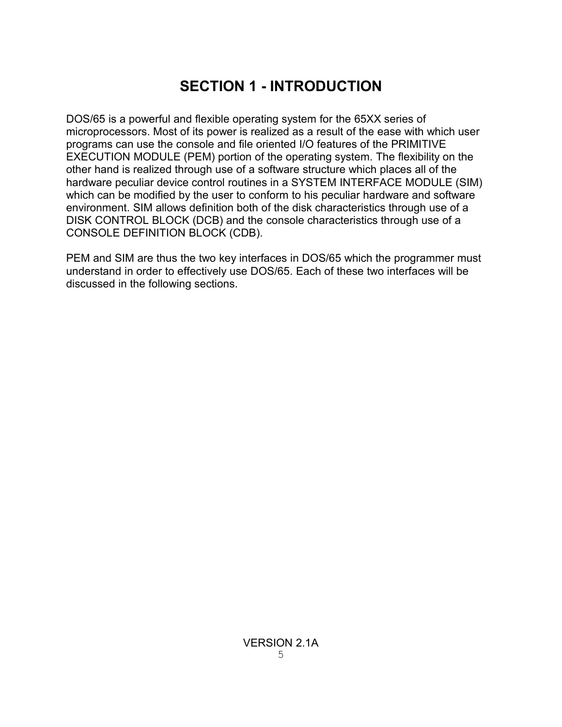# **SECTION 1 - INTRODUCTION**

DOS/65 is a powerful and flexible operating system for the 65XX series of microprocessors. Most of its power is realized as a result of the ease with which user programs can use the console and file oriented I/O features of the PRIMITIVE EXECUTION MODULE (PEM) portion of the operating system. The flexibility on the other hand is realized through use of a software structure which places all of the hardware peculiar device control routines in a SYSTEM INTERFACE MODULE (SIM) which can be modified by the user to conform to his peculiar hardware and software environment. SIM allows definition both of the disk characteristics through use of a DISK CONTROL BLOCK (DCB) and the console characteristics through use of a CONSOLE DEFINITION BLOCK (CDB).

PEM and SIM are thus the two key interfaces in DOS/65 which the programmer must understand in order to effectively use DOS/65. Each of these two interfaces will be discussed in the following sections.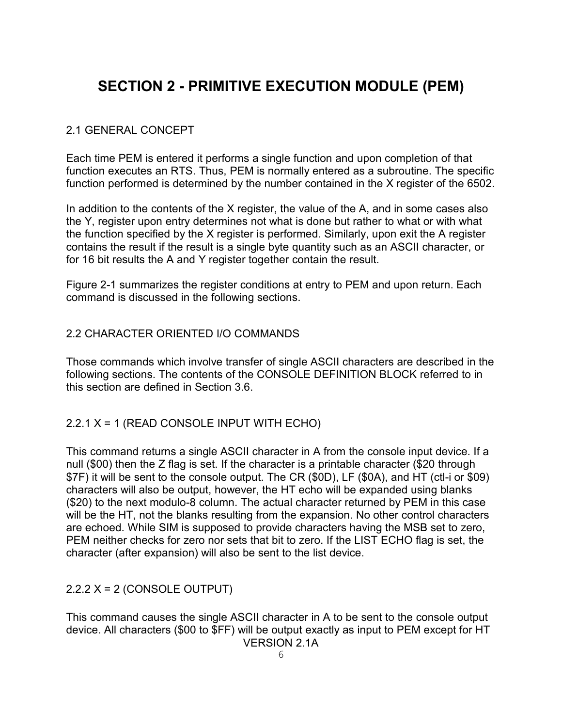# **SECTION 2 - PRIMITIVE EXECUTION MODULE (PEM)**

#### 2.1 GENERAL CONCEPT

Each time PEM is entered it performs a single function and upon completion of that function executes an RTS. Thus, PEM is normally entered as a subroutine. The specific function performed is determined by the number contained in the X register of the 6502.

In addition to the contents of the X register, the value of the A, and in some cases also the Y, register upon entry determines not what is done but rather to what or with what the function specified by the X register is performed. Similarly, upon exit the A register contains the result if the result is a single byte quantity such as an ASCII character, or for 16 bit results the A and Y register together contain the result.

Figure 2-1 summarizes the register conditions at entry to PEM and upon return. Each command is discussed in the following sections.

#### 2.2 CHARACTER ORIENTED I/O COMMANDS

Those commands which involve transfer of single ASCII characters are described in the following sections. The contents of the CONSOLE DEFINITION BLOCK referred to in this section are defined in Section 3.6.

#### 2.2.1 X = 1 (READ CONSOLE INPUT WITH ECHO)

This command returns a single ASCII character in A from the console input device. If a null (\$00) then the Z flag is set. If the character is a printable character (\$20 through \$7F) it will be sent to the console output. The CR (\$0D), LF (\$0A), and HT (ctl-i or \$09) characters will also be output, however, the HT echo will be expanded using blanks (\$20) to the next modulo-8 column. The actual character returned by PEM in this case will be the HT, not the blanks resulting from the expansion. No other control characters are echoed. While SIM is supposed to provide characters having the MSB set to zero, PEM neither checks for zero nor sets that bit to zero. If the LIST ECHO flag is set, the character (after expansion) will also be sent to the list device.

#### 2.2.2 X = 2 (CONSOLE OUTPUT)

This command causes the single ASCII character in A to be sent to the console output device. All characters (\$00 to \$FF) will be output exactly as input to PEM except for HT VERSION 2.1A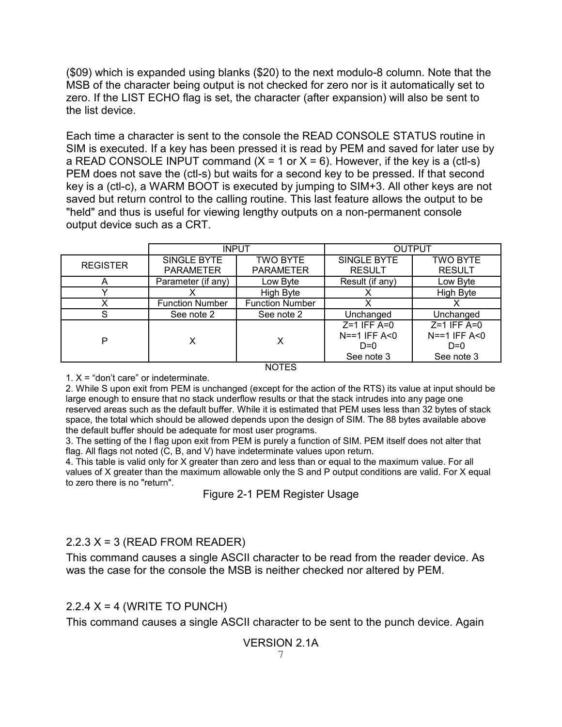(\$09) which is expanded using blanks (\$20) to the next modulo-8 column. Note that the MSB of the character being output is not checked for zero nor is it automatically set to zero. If the LIST ECHO flag is set, the character (after expansion) will also be sent to the list device.

Each time a character is sent to the console the READ CONSOLE STATUS routine in SIM is executed. If a key has been pressed it is read by PEM and saved for later use by a READ CONSOLE INPUT command  $(X = 1 \text{ or } X = 6)$ . However, if the key is a (ctl-s) PEM does not save the (ctl-s) but waits for a second key to be pressed. If that second key is a (ctl-c), a WARM BOOT is executed by jumping to SIM+3. All other keys are not saved but return control to the calling routine. This last feature allows the output to be "held" and thus is useful for viewing lengthy outputs on a non-permanent console output device such as a CRT.

|                 | <b>INPUT</b>           |                        | <b>OUTPUT</b>      |                 |  |
|-----------------|------------------------|------------------------|--------------------|-----------------|--|
| <b>REGISTER</b> | SINGLE BYTE            | <b>TWO BYTE</b>        | <b>SINGLE BYTE</b> | <b>TWO BYTE</b> |  |
|                 | <b>PARAMETER</b>       | <b>PARAMETER</b>       | <b>RESULT</b>      | <b>RESULT</b>   |  |
| $\overline{ }$  | Parameter (if any)     | Low Byte               | Result (if any)    | Low Byte        |  |
|                 |                        | High Byte              | х                  | High Byte       |  |
| х               | <b>Function Number</b> | <b>Function Number</b> | X                  |                 |  |
| S               | See note 2             | See note 2             | Unchanged          | Unchanged       |  |
|                 |                        |                        | $Z=1$ IFF A=0      | $Z=1$ IFF A=0   |  |
| P               | х                      | x                      | $N = 1$ IFF A<0    | $N==1$ IFF A<0  |  |
|                 |                        |                        | $D=0$              | $D=0$           |  |
|                 |                        | See note 3             | See note 3         |                 |  |
| <b>NOTES</b>    |                        |                        |                    |                 |  |

1.  $X =$  "don't care" or indeterminate.

2. While S upon exit from PEM is unchanged (except for the action of the RTS) its value at input should be large enough to ensure that no stack underflow results or that the stack intrudes into any page one reserved areas such as the default buffer. While it is estimated that PEM uses less than 32 bytes of stack space, the total which should be allowed depends upon the design of SIM. The 88 bytes available above the default buffer should be adequate for most user programs.

3. The setting of the I flag upon exit from PEM is purely a function of SIM. PEM itself does not alter that flag. All flags not noted (C, B, and V) have indeterminate values upon return.

4. This table is valid only for X greater than zero and less than or equal to the maximum value. For all values of X greater than the maximum allowable only the S and P output conditions are valid. For X equal to zero there is no "return".

Figure 2-1 PEM Register Usage

### $2.2.3$  X = 3 (READ FROM READER)

This command causes a single ASCII character to be read from the reader device. As was the case for the console the MSB is neither checked nor altered by PEM.

### $2.2.4$  X = 4 (WRITE TO PUNCH)

This command causes a single ASCII character to be sent to the punch device. Again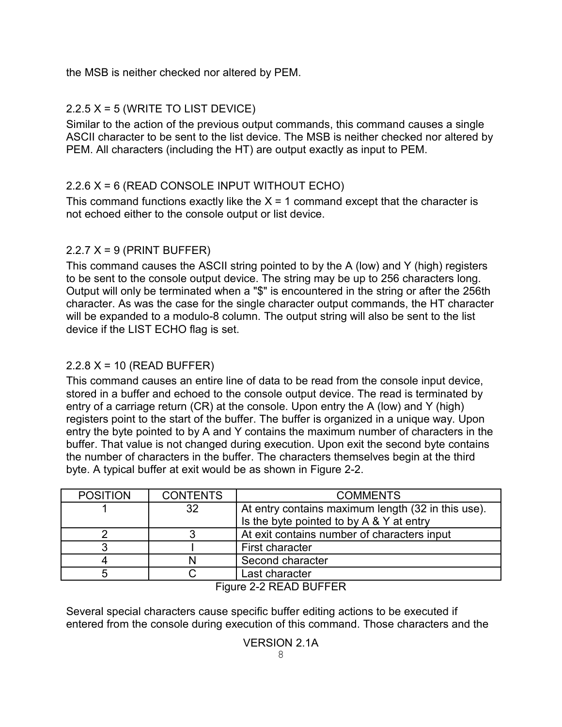the MSB is neither checked nor altered by PEM.

## $2.2.5$  X = 5 (WRITE TO LIST DEVICE)

Similar to the action of the previous output commands, this command causes a single ASCII character to be sent to the list device. The MSB is neither checked nor altered by PEM. All characters (including the HT) are output exactly as input to PEM.

## 2.2.6 X = 6 (READ CONSOLE INPUT WITHOUT ECHO)

This command functions exactly like the  $X = 1$  command except that the character is not echoed either to the console output or list device.

## $2.2.7$  X = 9 (PRINT BUFFER)

This command causes the ASCII string pointed to by the A (low) and Y (high) registers to be sent to the console output device. The string may be up to 256 characters long. Output will only be terminated when a "\$" is encountered in the string or after the 256th character. As was the case for the single character output commands, the HT character will be expanded to a modulo-8 column. The output string will also be sent to the list device if the LIST ECHO flag is set.

## 2.2.8 X = 10 (READ BUFFER)

This command causes an entire line of data to be read from the console input device, stored in a buffer and echoed to the console output device. The read is terminated by entry of a carriage return (CR) at the console. Upon entry the A (low) and Y (high) registers point to the start of the buffer. The buffer is organized in a unique way. Upon entry the byte pointed to by A and Y contains the maximum number of characters in the buffer. That value is not changed during execution. Upon exit the second byte contains the number of characters in the buffer. The characters themselves begin at the third byte. A typical buffer at exit would be as shown in Figure 2-2.

| <b>POSITION</b> | <b>CONTENTS</b> | <b>COMMENTS</b>                                    |  |
|-----------------|-----------------|----------------------------------------------------|--|
|                 | 32              | At entry contains maximum length (32 in this use). |  |
|                 |                 | Is the byte pointed to by A & Y at entry           |  |
|                 |                 | At exit contains number of characters input        |  |
|                 |                 | First character                                    |  |
|                 | N               | Second character                                   |  |
|                 |                 | Last character                                     |  |
| ------------    |                 |                                                    |  |

#### Figure 2-2 READ BUFFER

Several special characters cause specific buffer editing actions to be executed if entered from the console during execution of this command. Those characters and the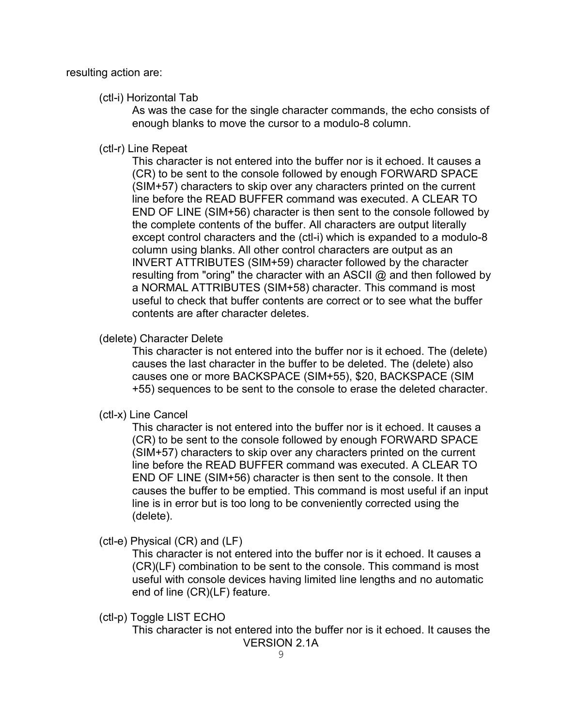resulting action are:

#### (ctl-i) Horizontal Tab

As was the case for the single character commands, the echo consists of enough blanks to move the cursor to a modulo-8 column.

#### (ctl-r) Line Repeat

This character is not entered into the buffer nor is it echoed. It causes a (CR) to be sent to the console followed by enough FORWARD SPACE (SIM+57) characters to skip over any characters printed on the current line before the READ BUFFER command was executed. A CLEAR TO END OF LINE (SIM+56) character is then sent to the console followed by the complete contents of the buffer. All characters are output literally except control characters and the (ctl-i) which is expanded to a modulo-8 column using blanks. All other control characters are output as an INVERT ATTRIBUTES (SIM+59) character followed by the character resulting from "oring" the character with an ASCII @ and then followed by a NORMAL ATTRIBUTES (SIM+58) character. This command is most useful to check that buffer contents are correct or to see what the buffer contents are after character deletes.

#### (delete) Character Delete

This character is not entered into the buffer nor is it echoed. The (delete) causes the last character in the buffer to be deleted. The (delete) also causes one or more BACKSPACE (SIM+55), \$20, BACKSPACE (SIM +55) sequences to be sent to the console to erase the deleted character.

(ctl-x) Line Cancel

This character is not entered into the buffer nor is it echoed. It causes a (CR) to be sent to the console followed by enough FORWARD SPACE (SIM+57) characters to skip over any characters printed on the current line before the READ BUFFER command was executed. A CLEAR TO END OF LINE (SIM+56) character is then sent to the console. It then causes the buffer to be emptied. This command is most useful if an input line is in error but is too long to be conveniently corrected using the (delete).

(ctl-e) Physical (CR) and (LF)

This character is not entered into the buffer nor is it echoed. It causes a (CR)(LF) combination to be sent to the console. This command is most useful with console devices having limited line lengths and no automatic end of line (CR)(LF) feature.

(ctl-p) Toggle LIST ECHO

This character is not entered into the buffer nor is it echoed. It causes the VERSION 2.1A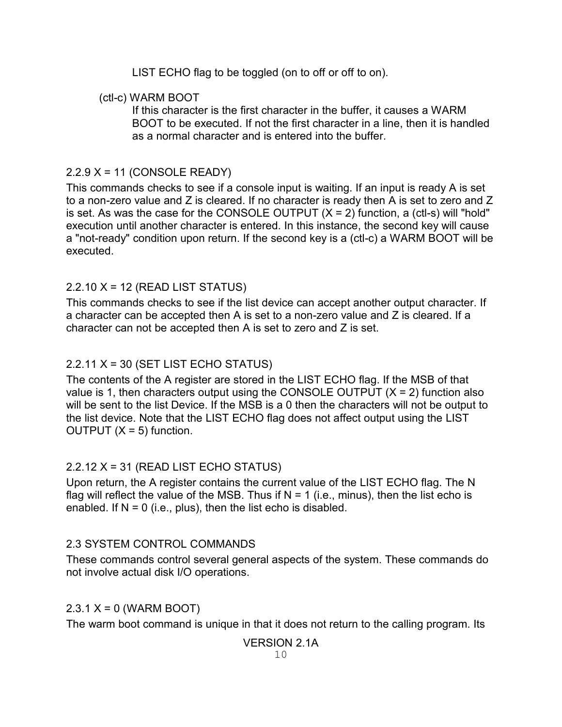LIST ECHO flag to be toggled (on to off or off to on).

### (ctl-c) WARM BOOT

If this character is the first character in the buffer, it causes a WARM BOOT to be executed. If not the first character in a line, then it is handled as a normal character and is entered into the buffer.

## 2.2.9 X = 11 (CONSOLE READY)

This commands checks to see if a console input is waiting. If an input is ready A is set to a non-zero value and Z is cleared. If no character is ready then A is set to zero and Z is set. As was the case for the CONSOLE OUTPUT  $(X = 2)$  function, a (ctl-s) will "hold" execution until another character is entered. In this instance, the second key will cause a "not-ready" condition upon return. If the second key is a (ctl-c) a WARM BOOT will be executed.

## 2.2.10 X = 12 (READ LIST STATUS)

This commands checks to see if the list device can accept another output character. If a character can be accepted then A is set to a non-zero value and Z is cleared. If a character can not be accepted then A is set to zero and Z is set.

## $2.2.11$  X = 30 (SET LIST ECHO STATUS)

The contents of the A register are stored in the LIST ECHO flag. If the MSB of that value is 1, then characters output using the CONSOLE OUTPUT  $(X = 2)$  function also will be sent to the list Device. If the MSB is a 0 then the characters will not be output to the list device. Note that the LIST ECHO flag does not affect output using the LIST OUTPUT  $(X = 5)$  function.

## 2.2.12 X = 31 (READ LIST ECHO STATUS)

Upon return, the A register contains the current value of the LIST ECHO flag. The N flag will reflect the value of the MSB. Thus if  $N = 1$  (i.e., minus), then the list echo is enabled. If  $N = 0$  (i.e., plus), then the list echo is disabled.

## 2.3 SYSTEM CONTROL COMMANDS

These commands control several general aspects of the system. These commands do not involve actual disk I/O operations.

## $2.3.1 X = 0$  (WARM BOOT)

The warm boot command is unique in that it does not return to the calling program. Its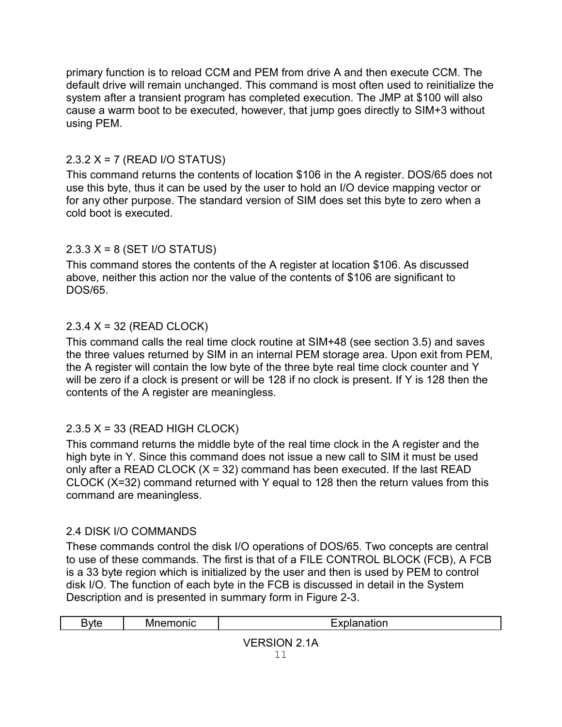primary function is to reload CCM and PEM from drive A and then execute CCM. The default drive will remain unchanged. This command is most often used to reinitialize the system after a transient program has completed execution. The JMP at \$100 will also cause a warm boot to be executed, however, that jump goes directly to SIM+3 without using PEM.

## 2.3.2 X = 7 (READ I/O STATUS)

This command returns the contents of location \$106 in the A register. DOS/65 does not use this byte, thus it can be used by the user to hold an I/O device mapping vector or for any other purpose. The standard version of SIM does set this byte to zero when a cold boot is executed.

## 2.3.3 X = 8 (SET I/O STATUS)

This command stores the contents of the A register at location \$106. As discussed above, neither this action nor the value of the contents of \$106 are significant to DOS/65.

## 2.3.4 X = 32 (READ CLOCK)

This command calls the real time clock routine at SIM+48 (see section 3.5) and saves the three values returned by SIM in an internal PEM storage area. Upon exit from PEM, the A register will contain the low byte of the three byte real time clock counter and Y will be zero if a clock is present or will be 128 if no clock is present. If Y is 128 then the contents of the A register are meaningless.

## 2.3.5 X = 33 (READ HIGH CLOCK)

This command returns the middle byte of the real time clock in the A register and the high byte in Y. Since this command does not issue a new call to SIM it must be used only after a READ CLOCK  $(X = 32)$  command has been executed. If the last READ CLOCK (X=32) command returned with Y equal to 128 then the return values from this command are meaningless.

### 2.4 DISK I/O COMMANDS

These commands control the disk I/O operations of DOS/65. Two concepts are central to use of these commands. The first is that of a FILE CONTROL BLOCK (FCB), A FCB is a 33 byte region which is initialized by the user and then is used by PEM to control disk I/O. The function of each byte in the FCB is discussed in detail in the System Description and is presented in summary form in Figure 2-3.

| <b>Byte</b>                                           | nemonic<br>Mr | .<br>lanation |
|-------------------------------------------------------|---------------|---------------|
| Δ<br>ЭN<br>,,<br>. .<br>.<br>$\overline{\phantom{a}}$ |               |               |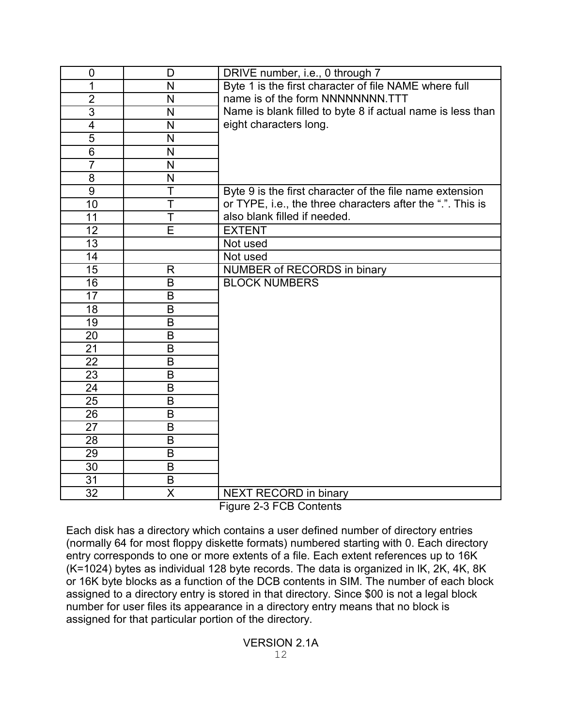| $\mathbf 0$     | D                       | DRIVE number, i.e., 0 through 7                                    |
|-----------------|-------------------------|--------------------------------------------------------------------|
| 1               | N                       | Byte 1 is the first character of file NAME where full              |
| $\overline{2}$  | N                       | name is of the form NNNNNNNNN.TTT                                  |
| $\overline{3}$  | N                       | Name is blank filled to byte 8 if actual name is less than         |
| 4               | N                       | eight characters long.                                             |
| $\overline{5}$  | N                       |                                                                    |
| 6               | N                       |                                                                    |
| $\overline{7}$  | N                       |                                                                    |
| 8               | N                       |                                                                    |
| $\overline{9}$  | T                       | Byte 9 is the first character of the file name extension           |
| 10              | T                       | or TYPE, i.e., the three characters after the ".". This is         |
| 11              | T                       | also blank filled if needed.                                       |
| 12              | E                       | <b>EXTENT</b>                                                      |
| $\overline{13}$ |                         | Not used                                                           |
| 14              |                         | Not used                                                           |
| 15              | R                       | NUMBER of RECORDS in binary                                        |
| $\overline{16}$ | B                       | <b>BLOCK NUMBERS</b>                                               |
| 17              | B                       |                                                                    |
| $\overline{18}$ | B                       |                                                                    |
| 19              | B                       |                                                                    |
| 20              | B                       |                                                                    |
| 21              | B                       |                                                                    |
| 22              | B                       |                                                                    |
| $\overline{23}$ | B                       |                                                                    |
| 24              | B                       |                                                                    |
| 25              | B                       |                                                                    |
| 26              | B                       |                                                                    |
| 27              | B                       |                                                                    |
| 28              | B                       |                                                                    |
| 29              | B                       |                                                                    |
| 30              | B                       |                                                                    |
| 31              | B                       |                                                                    |
| 32              | $\overline{\mathsf{x}}$ | NEXT RECORD in binary<br>$\sim$ $\sim$ $\sim$ $\sim$ $\sim$ $\sim$ |

Figure 2-3 FCB Contents

Each disk has a directory which contains a user defined number of directory entries (normally 64 for most floppy diskette formats) numbered starting with 0. Each directory entry corresponds to one or more extents of a file. Each extent references up to 16K (K=1024) bytes as individual 128 byte records. The data is organized in lK, 2K, 4K, 8K or 16K byte blocks as a function of the DCB contents in SIM. The number of each block assigned to a directory entry is stored in that directory. Since \$00 is not a legal block number for user files its appearance in a directory entry means that no block is assigned for that particular portion of the directory.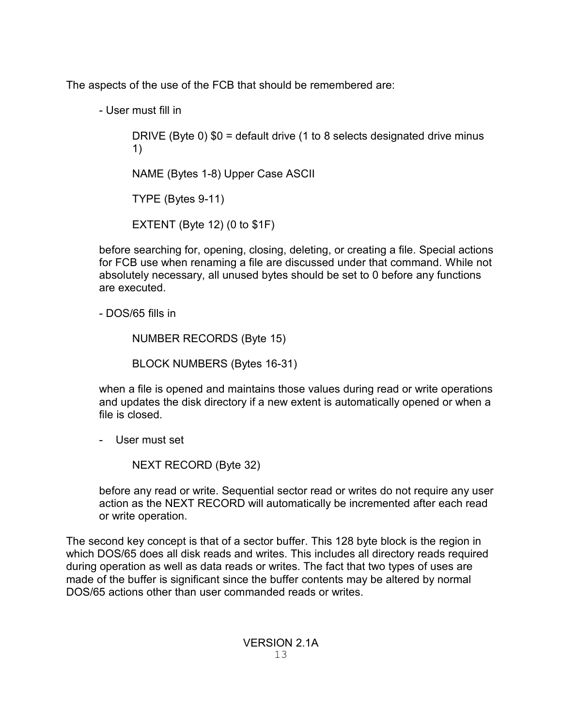The aspects of the use of the FCB that should be remembered are:

- User must fill in

DRIVE (Byte 0) \$0 = default drive (1 to 8 selects designated drive minus 1)

NAME (Bytes 1-8) Upper Case ASCII

TYPE (Bytes 9-11)

EXTENT (Byte 12) (0 to \$1F)

before searching for, opening, closing, deleting, or creating a file. Special actions for FCB use when renaming a file are discussed under that command. While not absolutely necessary, all unused bytes should be set to 0 before any functions are executed.

- DOS/65 fills in

NUMBER RECORDS (Byte 15)

BLOCK NUMBERS (Bytes 16-31)

when a file is opened and maintains those values during read or write operations and updates the disk directory if a new extent is automatically opened or when a file is closed.

- User must set

NEXT RECORD (Byte 32)

before any read or write. Sequential sector read or writes do not require any user action as the NEXT RECORD will automatically be incremented after each read or write operation.

The second key concept is that of a sector buffer. This 128 byte block is the region in which DOS/65 does all disk reads and writes. This includes all directory reads required during operation as well as data reads or writes. The fact that two types of uses are made of the buffer is significant since the buffer contents may be altered by normal DOS/65 actions other than user commanded reads or writes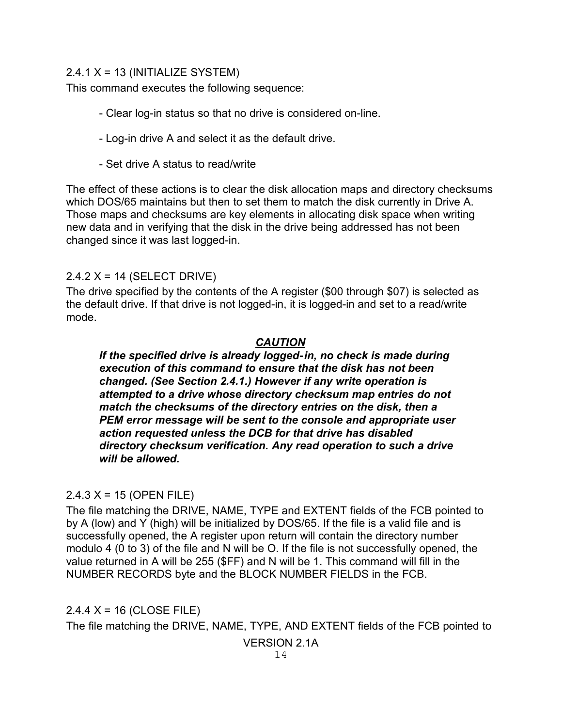#### $2.4.1$  X = 13 (INITIALIZE SYSTEM)

This command executes the following sequence:

- Clear log-in status so that no drive is considered on-line.
- Log-in drive A and select it as the default drive.
- Set drive A status to read/write

The effect of these actions is to clear the disk allocation maps and directory checksums which DOS/65 maintains but then to set them to match the disk currently in Drive A. Those maps and checksums are key elements in allocating disk space when writing new data and in verifying that the disk in the drive being addressed has not been changed since it was last logged-in.

### 2.4.2 X = 14 (SELECT DRIVE)

The drive specified by the contents of the A register (\$00 through \$07) is selected as the default drive. If that drive is not logged-in, it is logged-in and set to a read/write mode.

### *CAUTION*

*If the specified drive is already logged-in, no check is made during execution of this command to ensure that the disk has not been changed. (See Section 2.4.1.) However if any write operation is attempted to a drive whose directory checksum map entries do not match the checksums of the directory entries on the disk, then a PEM error message will be sent to the console and appropriate user action requested unless the DCB for that drive has disabled directory checksum verification. Any read operation to such a drive will be allowed.*

### $2.4.3 X = 15 (OPEN FILE)$

The file matching the DRIVE, NAME, TYPE and EXTENT fields of the FCB pointed to by A (low) and Y (high) will be initialized by DOS/65. If the file is a valid file and is successfully opened, the A register upon return will contain the directory number modulo 4 (0 to 3) of the file and N will be O. If the file is not successfully opened, the value returned in A will be 255 (\$FF) and N will be 1. This command will fill in the NUMBER RECORDS byte and the BLOCK NUMBER FIELDS in the FCB.

#### $2.4.4$  X = 16 (CLOSE FILE)

The file matching the DRIVE, NAME, TYPE, AND EXTENT fields of the FCB pointed to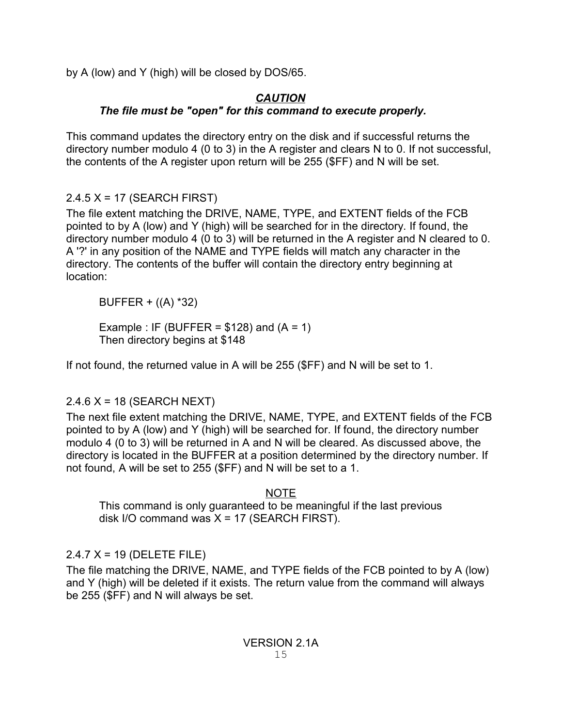by A (low) and Y (high) will be closed by DOS/65.

## *CAUTION*

## *The file must be "open" for this command to execute properly.*

This command updates the directory entry on the disk and if successful returns the directory number modulo 4 (0 to 3) in the A register and clears N to 0. If not successful, the contents of the A register upon return will be 255 (\$FF) and N will be set.

# 2.4.5 X = 17 (SEARCH FIRST)

The file extent matching the DRIVE, NAME, TYPE, and EXTENT fields of the FCB pointed to by A (low) and Y (high) will be searched for in the directory. If found, the directory number modulo 4 (0 to 3) will be returned in the A register and N cleared to 0. A '?' in any position of the NAME and TYPE fields will match any character in the directory. The contents of the buffer will contain the directory entry beginning at location:

BUFFER + ((A) \*32)

Example : IF (BUFFER =  $$128$ ) and (A = 1) Then directory begins at \$148

If not found, the returned value in A will be 255 (\$FF) and N will be set to 1.

## $2.4.6$  X = 18 (SEARCH NEXT)

The next file extent matching the DRIVE, NAME, TYPE, and EXTENT fields of the FCB pointed to by A (low) and Y (high) will be searched for. If found, the directory number modulo 4 (0 to 3) will be returned in A and N will be cleared. As discussed above, the directory is located in the BUFFER at a position determined by the directory number. If not found, A will be set to 255 (\$FF) and N will be set to a 1.

NOTE

This command is only guaranteed to be meaningful if the last previous disk I/O command was  $X = 17$  (SEARCH FIRST).

# 2.4.7 X = 19 (DELETE FILE)

The file matching the DRIVE, NAME, and TYPE fields of the FCB pointed to by A (low) and Y (high) will be deleted if it exists. The return value from the command will always be 255 (\$FF) and N will always be set.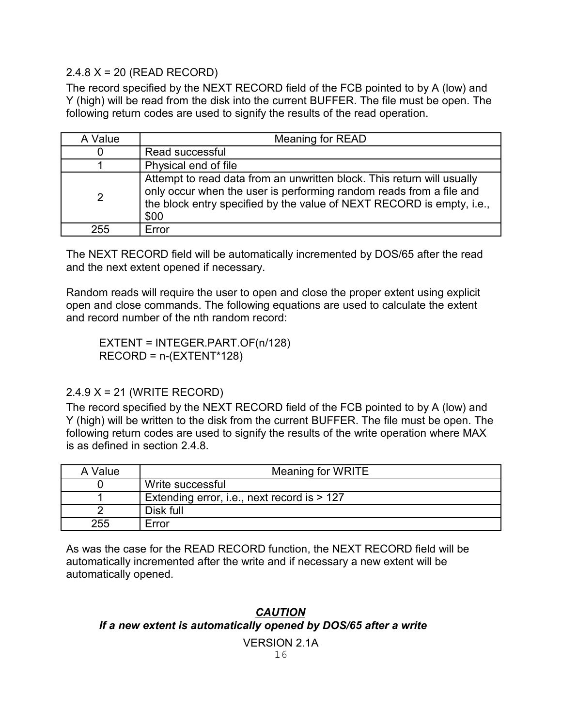#### 2.4.8 X = 20 (READ RECORD)

The record specified by the NEXT RECORD field of the FCB pointed to by A (low) and Y (high) will be read from the disk into the current BUFFER. The file must be open. The following return codes are used to signify the results of the read operation.

| A Value        | <b>Meaning for READ</b>                                                                                                                                                                                                        |
|----------------|--------------------------------------------------------------------------------------------------------------------------------------------------------------------------------------------------------------------------------|
| 0              | Read successful                                                                                                                                                                                                                |
|                | Physical end of file                                                                                                                                                                                                           |
| $\overline{2}$ | Attempt to read data from an unwritten block. This return will usually<br>only occur when the user is performing random reads from a file and<br>the block entry specified by the value of NEXT RECORD is empty, i.e.,<br>\$00 |
| 255            | Error                                                                                                                                                                                                                          |

The NEXT RECORD field will be automatically incremented by DOS/65 after the read and the next extent opened if necessary.

Random reads will require the user to open and close the proper extent using explicit open and close commands. The following equations are used to calculate the extent and record number of the nth random record:

EXTENT = INTEGER.PART.OF(n/128) RECORD = n-(EXTENT\*128)

### 2.4.9 X = 21 (WRITE RECORD)

The record specified by the NEXT RECORD field of the FCB pointed to by A (low) and Y (high) will be written to the disk from the current BUFFER. The file must be open. The following return codes are used to signify the results of the write operation where MAX is as defined in section 2.4.8.

| A Value | Meaning for WRITE                           |
|---------|---------------------------------------------|
|         | Write successful                            |
|         | Extending error, i.e., next record is > 127 |
|         | Disk full                                   |
| 255     | Error                                       |

As was the case for the READ RECORD function, the NEXT RECORD field will be automatically incremented after the write and if necessary a new extent will be automatically opened.

## *CAUTION If a new extent is automatically opened by DOS/65 after a write*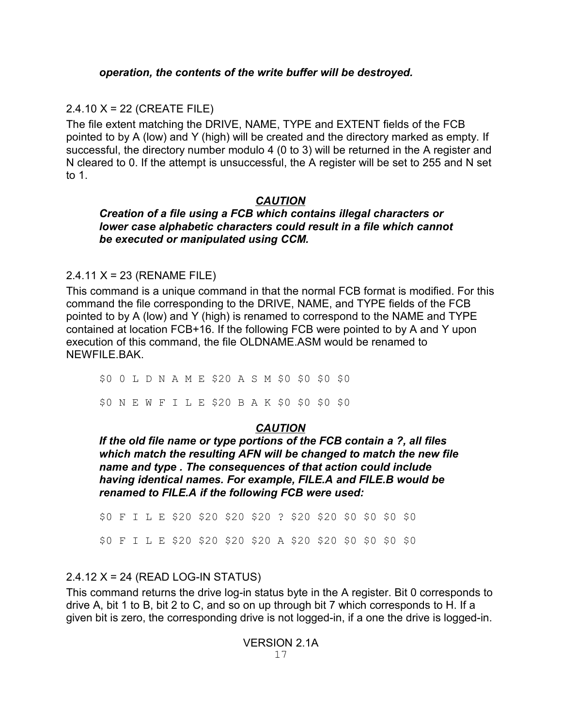## 2.4.10 X = 22 (CREATE FILE)

The file extent matching the DRIVE, NAME, TYPE and EXTENT fields of the FCB pointed to by A (low) and Y (high) will be created and the directory marked as empty. If successful, the directory number modulo 4 (0 to 3) will be returned in the A register and N cleared to 0. If the attempt is unsuccessful, the A register will be set to 255 and N set to 1.

## *CAUTION*

#### *Creation of a file using a FCB which contains illegal characters or lower case alphabetic characters could result in a file which cannot be executed or manipulated using CCM.*

### 2.4.11 X = 23 (RENAME FILE)

This command is a unique command in that the normal FCB format is modified. For this command the file corresponding to the DRIVE, NAME, and TYPE fields of the FCB pointed to by A (low) and Y (high) is renamed to correspond to the NAME and TYPE contained at location FCB+16. If the following FCB were pointed to by A and Y upon execution of this command, the file OLDNAME.ASM would be renamed to NEWFILE.BAK.

\$0 0 L D N A M E \$20 A S M \$0 \$0 \$0 \$0

\$0 N E W F I L E \$20 B A K \$0 \$0 \$0 \$0

## *CAUTION*

*If the old file name or type portions of the FCB contain a ?, all files which match the resulting AFN will be changed to match the new file name and type . The consequences of that action could include having identical names. For example, FILE.A and FILE.B would be renamed to FILE.A if the following FCB were used:*

\$0 F I L E \$20 \$20 \$20 \$20 ? \$20 \$20 \$0 \$0 \$0 \$0 \$0 F I L E \$20 \$20 \$20 \$20 A \$20 \$20 \$0 \$0 \$0 \$0

## 2.4.12 X = 24 (READ LOG-IN STATUS)

This command returns the drive log-in status byte in the A register. Bit 0 corresponds to drive A, bit 1 to B, bit 2 to C, and so on up through bit 7 which corresponds to H. If a given bit is zero, the corresponding drive is not logged-in, if a one the drive is logged-in.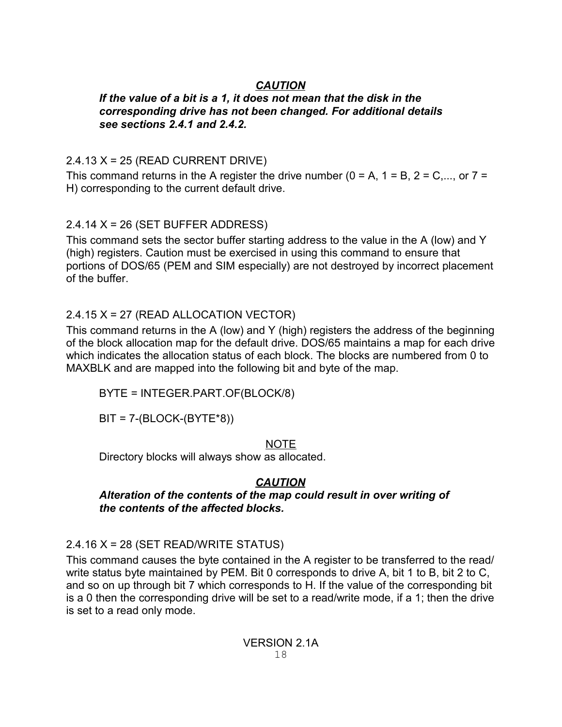## *CAUTION*

#### *If the value of a bit is a 1, it does not mean that the disk in the corresponding drive has not been changed. For additional details see sections 2.4.1 and 2.4.2.*

## 2.4.13 X = 25 (READ CURRENT DRIVE)

This command returns in the A register the drive number ( $0 = A$ ,  $1 = B$ ,  $2 = C$ ,..., or  $7 =$ H) corresponding to the current default drive.

## $2.4.14$  X = 26 (SET BUFFER ADDRESS)

This command sets the sector buffer starting address to the value in the A (low) and Y (high) registers. Caution must be exercised in using this command to ensure that portions of DOS/65 (PEM and SIM especially) are not destroyed by incorrect placement of the buffer.

## 2.4.15 X = 27 (READ ALLOCATION VECTOR)

This command returns in the A (low) and Y (high) registers the address of the beginning of the block allocation map for the default drive. DOS/65 maintains a map for each drive which indicates the allocation status of each block. The blocks are numbered from 0 to MAXBLK and are mapped into the following bit and byte of the map.

BYTE = INTEGER.PART.OF(BLOCK/8)

BIT = 7-(BLOCK-(BYTE\*8))

#### NOTE

Directory blocks will always show as allocated.

### *CAUTION*

*Alteration of the contents of the map could result in over writing of the contents of the affected blocks.*

### 2.4.16 X = 28 (SET READ/WRITE STATUS)

This command causes the byte contained in the A register to be transferred to the read/ write status byte maintained by PEM. Bit 0 corresponds to drive A, bit 1 to B, bit 2 to C, and so on up through bit 7 which corresponds to H. If the value of the corresponding bit is a 0 then the corresponding drive will be set to a read/write mode, if a 1; then the drive is set to a read only mode.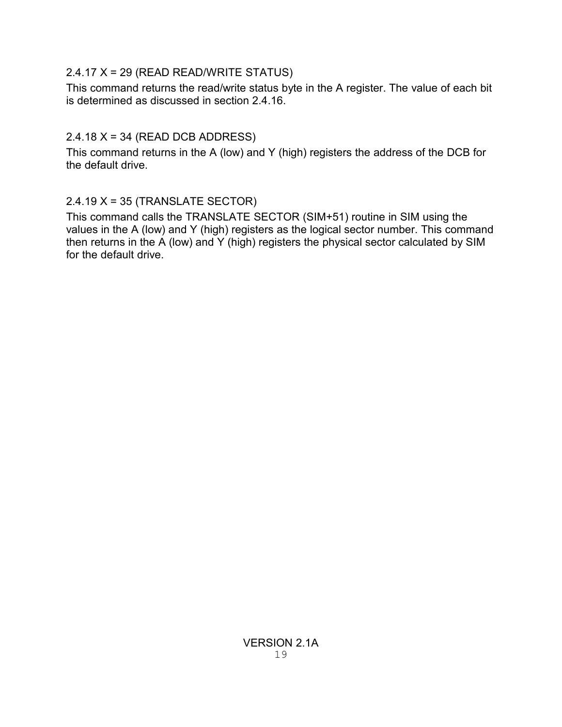## 2.4.17 X = 29 (READ READ/WRITE STATUS)

This command returns the read/write status byte in the A register. The value of each bit is determined as discussed in section 2.4.16.

## 2.4.18 X = 34 (READ DCB ADDRESS)

This command returns in the A (low) and Y (high) registers the address of the DCB for the default drive.

## 2.4.19 X = 35 (TRANSLATE SECTOR)

This command calls the TRANSLATE SECTOR (SIM+51) routine in SIM using the values in the A (low) and Y (high) registers as the logical sector number. This command then returns in the  $\overline{A}$  (low) and  $\overline{Y}$  (high) registers the physical sector calculated by SIM for the default drive.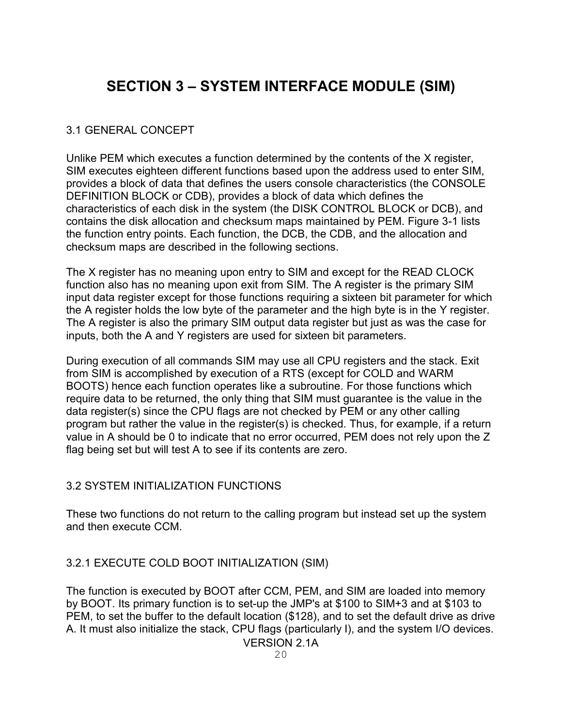# **SECTION 3 – SYSTEM INTERFACE MODULE (SIM)**

### 3.1 GENERAL CONCEPT

Unlike PEM which executes a function determined by the contents of the X register, SIM executes eighteen different functions based upon the address used to enter SIM, provides a block of data that defines the users console characteristics (the CONSOLE DEFINITION BLOCK or CDB), provides a block of data which defines the characteristics of each disk in the system (the DISK CONTROL BLOCK or DCB), and contains the disk allocation and checksum maps maintained by PEM. Figure 3-1 lists the function entry points. Each function, the DCB, the CDB, and the allocation and checksum maps are described in the following sections.

The X register has no meaning upon entry to SIM and except for the READ CLOCK function also has no meaning upon exit from SIM. The A register is the primary SIM input data register except for those functions requiring a sixteen bit parameter for which the A register holds the low byte of the parameter and the high byte is in the Y register. The A register is also the primary SIM output data register but just as was the case for inputs, both the A and Y registers are used for sixteen bit parameters.

During execution of all commands SIM may use all CPU registers and the stack. Exit from SIM is accomplished by execution of a RTS (except for COLD and WARM BOOTS) hence each function operates like a subroutine. For those functions which require data to be returned, the only thing that SIM must guarantee is the value in the data register(s) since the CPU flags are not checked by PEM or any other calling program but rather the value in the register(s) is checked. Thus, for example, if a return value in A should be 0 to indicate that no error occurred, PEM does not rely upon the Z flag being set but will test A to see if its contents are zero.

### 3.2 SYSTEM INITIALIZATION FUNCTIONS

These two functions do not return to the calling program but instead set up the system and then execute CCM.

## 3.2.1 EXECUTE COLD BOOT INITIALIZATION (SIM)

The function is executed by BOOT after CCM, PEM, and SIM are loaded into memory by BOOT. Its primary function is to set-up the JMP's at \$100 to SIM+3 and at \$103 to PEM, to set the buffer to the default location (\$128), and to set the default drive as drive A. It must also initialize the stack, CPU flags (particularly I), and the system I/O devices.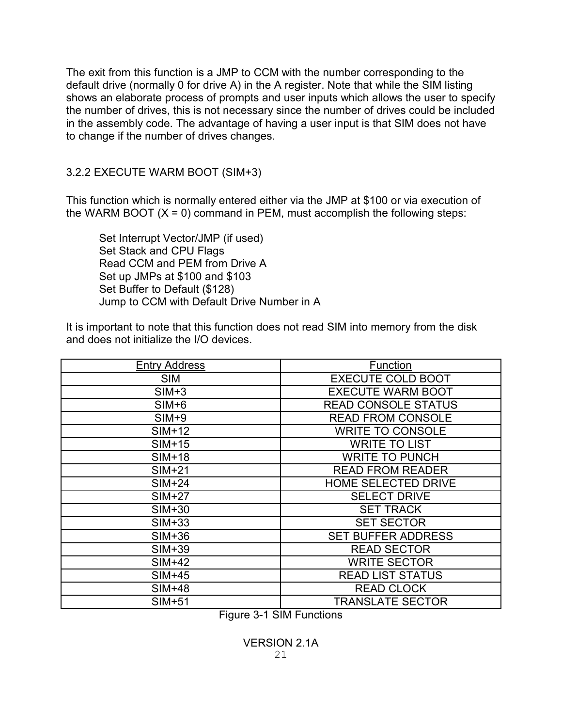The exit from this function is a JMP to CCM with the number corresponding to the default drive (normally 0 for drive A) in the A register. Note that while the SIM listing shows an elaborate process of prompts and user inputs which allows the user to specify the number of drives, this is not necessary since the number of drives could be included in the assembly code. The advantage of having a user input is that SIM does not have to change if the number of drives changes.

3.2.2 EXECUTE WARM BOOT (SIM+3)

This function which is normally entered either via the JMP at \$100 or via execution of the WARM BOOT  $(X = 0)$  command in PEM, must accomplish the following steps:

Set Interrupt Vector/JMP (if used) Set Stack and CPU Flags Read CCM and PEM from Drive A Set up JMPs at \$100 and \$103 Set Buffer to Default (\$128) Jump to CCM with Default Drive Number in A

It is important to note that this function does not read SIM into memory from the disk and does not initialize the I/O devices.

| <b>Entry Address</b> | Function                   |
|----------------------|----------------------------|
| <b>SIM</b>           | <b>EXECUTE COLD BOOT</b>   |
| $SIM+3$              | <b>EXECUTE WARM BOOT</b>   |
| $SIM+6$              | <b>READ CONSOLE STATUS</b> |
| $SIM+9$              | <b>READ FROM CONSOLE</b>   |
| $SIM+12$             | <b>WRITE TO CONSOLE</b>    |
| $SIM+15$             | <b>WRITE TO LIST</b>       |
| $SIM+18$             | <b>WRITE TO PUNCH</b>      |
| $SIM+21$             | <b>READ FROM READER</b>    |
| $SIM+24$             | <b>HOME SELECTED DRIVE</b> |
| $SIM+27$             | <b>SELECT DRIVE</b>        |
| $SIM+30$             | <b>SET TRACK</b>           |
| $SIM+33$             | <b>SET SECTOR</b>          |
| $SIM+36$             | <b>SET BUFFER ADDRESS</b>  |
| $SIM+39$             | <b>READ SECTOR</b>         |
| $SIM+42$             | <b>WRITE SECTOR</b>        |
| $SIM+45$             | <b>READ LIST STATUS</b>    |
| $SIM+48$             | <b>READ CLOCK</b>          |
| $SIM+51$             | <b>TRANSLATE SECTOR</b>    |

Figure 3-1 SIM Functions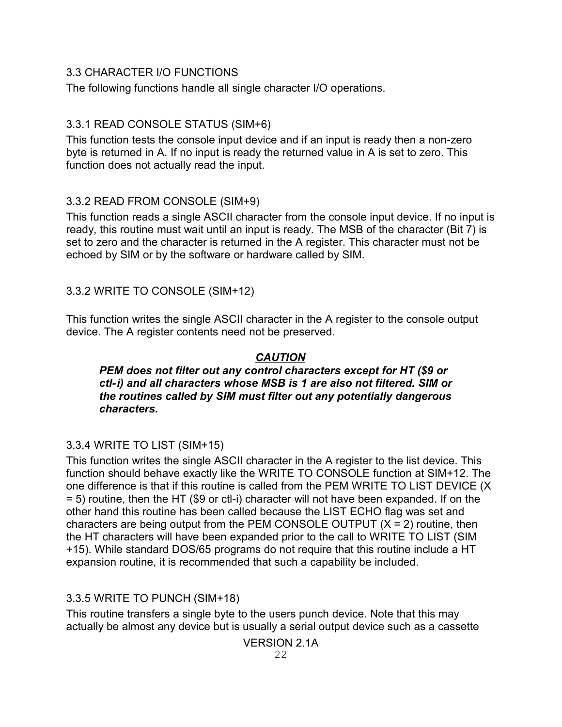### 3.3 CHARACTER I/O FUNCTIONS

The following functions handle all single character I/O operations.

## 3.3.1 READ CONSOLE STATUS (SIM+6)

This function tests the console input device and if an input is ready then a non-zero byte is returned in A. If no input is ready the returned value in A is set to zero. This function does not actually read the input.

## 3.3.2 READ FROM CONSOLE (SIM+9)

This function reads a single ASCII character from the console input device. If no input is ready, this routine must wait until an input is ready. The MSB of the character (Bit 7) is set to zero and the character is returned in the A register. This character must not be echoed by SIM or by the software or hardware called by SIM.

## 3.3.2 WRITE TO CONSOLE (SIM+12)

This function writes the single ASCII character in the A register to the console output device. The A register contents need not be preserved.

## *CAUTION*

#### *PEM does not filter out any control characters except for HT (\$9 or ctl-i) and all characters whose MSB is 1 are also not filtered. SIM or the routines called by SIM must filter out any potentially dangerous characters.*

### 3.3.4 WRITE TO LIST (SIM+15)

This function writes the single ASCII character in the A register to the list device. This function should behave exactly like the WRITE TO CONSOLE function at SIM+12. The one difference is that if this routine is called from the PEM WRITE TO LIST DEVICE (X = 5) routine, then the HT (\$9 or ctl-i) character will not have been expanded. If on the other hand this routine has been called because the LIST ECHO flag was set and characters are being output from the PEM CONSOLE OUTPUT  $(X = 2)$  routine, then the HT characters will have been expanded prior to the call to WRITE TO LIST (SIM +15). While standard DOS/65 programs do not require that this routine include a HT expansion routine, it is recommended that such a capability be included.

## 3.3.5 WRITE TO PUNCH (SIM+18)

This routine transfers a single byte to the users punch device. Note that this may actually be almost any device but is usually a serial output device such as a cassette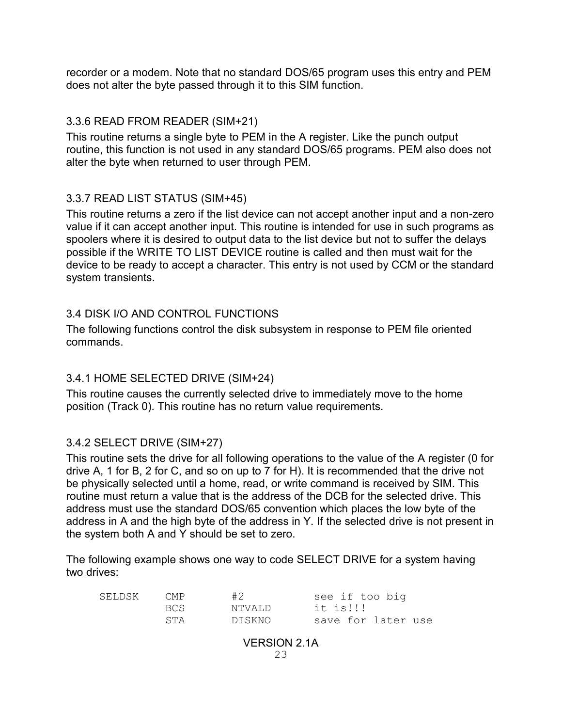recorder or a modem. Note that no standard DOS/65 program uses this entry and PEM does not alter the byte passed through it to this SIM function.

#### 3.3.6 READ FROM READER (SIM+21)

This routine returns a single byte to PEM in the A register. Like the punch output routine, this function is not used in any standard DOS/65 programs. PEM also does not alter the byte when returned to user through PEM.

### 3.3.7 READ LIST STATUS (SIM+45)

This routine returns a zero if the list device can not accept another input and a non-zero value if it can accept another input. This routine is intended for use in such programs as spoolers where it is desired to output data to the list device but not to suffer the delays possible if the WRITE TO LIST DEVICE routine is called and then must wait for the device to be ready to accept a character. This entry is not used by CCM or the standard system transients.

#### 3.4 DISK I/O AND CONTROL FUNCTIONS

The following functions control the disk subsystem in response to PEM file oriented commands.

### 3.4.1 HOME SELECTED DRIVE (SIM+24)

This routine causes the currently selected drive to immediately move to the home position (Track 0). This routine has no return value requirements.

### 3.4.2 SELECT DRIVE (SIM+27)

This routine sets the drive for all following operations to the value of the A register (0 for drive A, 1 for B, 2 for C, and so on up to 7 for H). It is recommended that the drive not be physically selected until a home, read, or write command is received by SIM. This routine must return a value that is the address of the DCB for the selected drive. This address must use the standard DOS/65 convention which places the low byte of the address in A and the high byte of the address in Y. If the selected drive is not present in the system both A and Y should be set to zero.

The following example shows one way to code SELECT DRIVE for a system having two drives:

| SELDSK | CMP  | #2      | see if too big     |
|--------|------|---------|--------------------|
|        | BCS. | NTVALD. | it is!!!           |
|        | STA  | DI SKNO | save for later use |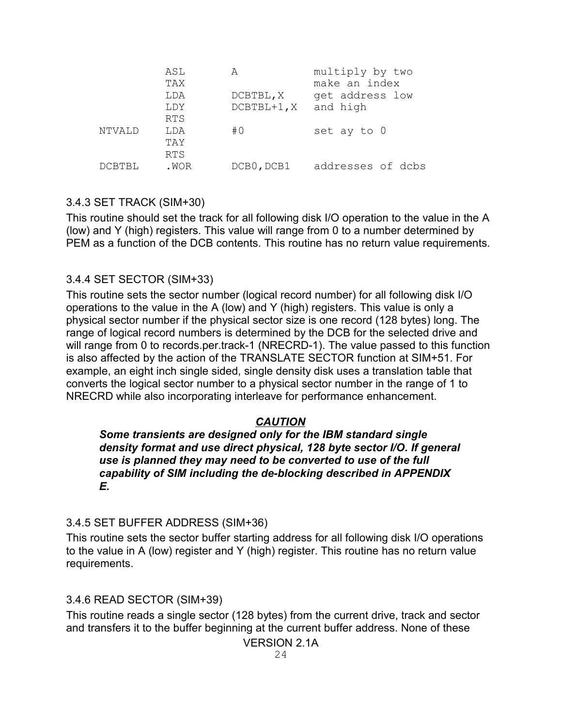|        | ASL<br>TAX | А             | multiply by two<br>make an index |
|--------|------------|---------------|----------------------------------|
|        | LDA        | DCBTBL, X     | get address low                  |
|        | LDY        | $DCBTBL+1, X$ | and high                         |
|        | <b>RTS</b> |               |                                  |
| NTVALD | LDA        | #0            | set ay to 0                      |
|        | TAY        |               |                                  |
|        | <b>RTS</b> |               |                                  |
| DCBTBL | .WOR       | DCB0, DCB1    | addresses of dcbs                |

#### 3.4.3 SET TRACK (SIM+30)

This routine should set the track for all following disk I/O operation to the value in the A (low) and Y (high) registers. This value will range from 0 to a number determined by PEM as a function of the DCB contents. This routine has no return value requirements.

#### 3.4.4 SET SECTOR (SIM+33)

This routine sets the sector number (logical record number) for all following disk I/O operations to the value in the A (low) and Y (high) registers. This value is only a physical sector number if the physical sector size is one record (128 bytes) long. The range of logical record numbers is determined by the DCB for the selected drive and will range from 0 to records.per.track-1 (NRECRD-1). The value passed to this function is also affected by the action of the TRANSLATE SECTOR function at SIM+51. For example, an eight inch single sided, single density disk uses a translation table that converts the logical sector number to a physical sector number in the range of 1 to NRECRD while also incorporating interleave for performance enhancement.

#### *CAUTION*

*Some transients are designed only for the IBM standard single density format and use direct physical, 128 byte sector I/O. If general use is planned they may need to be converted to use of the full capability of SIM including the de-blocking described in APPENDIX E.*

#### 3.4.5 SET BUFFER ADDRESS (SIM+36)

This routine sets the sector buffer starting address for all following disk I/O operations to the value in A (low) register and Y (high) register. This routine has no return value requirements.

#### 3.4.6 READ SECTOR (SIM+39)

This routine reads a single sector (128 bytes) from the current drive, track and sector and transfers it to the buffer beginning at the current buffer address. None of these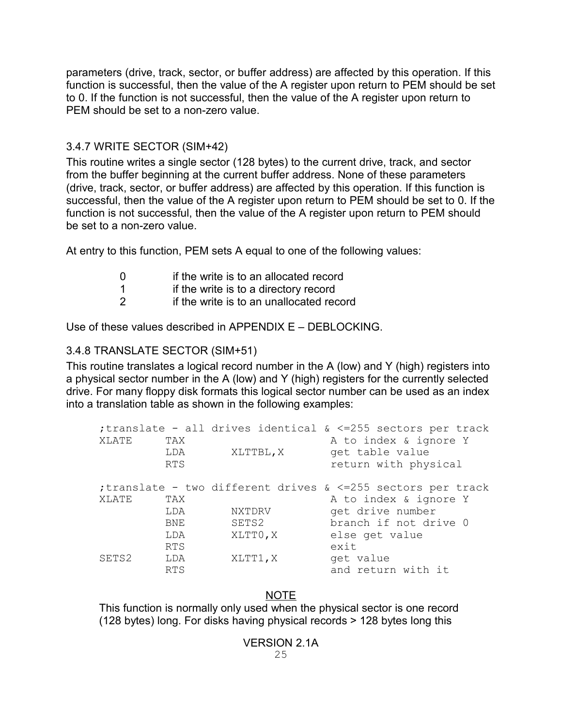parameters (drive, track, sector, or buffer address) are affected by this operation. If this function is successful, then the value of the A register upon return to PEM should be set to 0. If the function is not successful, then the value of the A register upon return to PEM should be set to a non-zero value.

#### 3.4.7 WRITE SECTOR (SIM+42)

This routine writes a single sector (128 bytes) to the current drive, track, and sector from the buffer beginning at the current buffer address. None of these parameters (drive, track, sector, or buffer address) are affected by this operation. If this function is successful, then the value of the A register upon return to PEM should be set to 0. If the function is not successful, then the value of the A register upon return to PEM should be set to a non-zero value.

At entry to this function, PEM sets A equal to one of the following values:

- 0 if the write is to an allocated record
- 1 **if the write is to a directory record**
- 2 if the write is to an unallocated record

Use of these values described in APPENDIX E – DEBLOCKING.

### 3.4.8 TRANSLATE SECTOR (SIM+51)

This routine translates a logical record number in the A (low) and Y (high) registers into a physical sector number in the A (low) and Y (high) registers for the currently selected drive. For many floppy disk formats this logical sector number can be used as an index into a translation table as shown in the following examples:

|       |            |           | ;translate - all drives identical & <=255 sectors per track  |
|-------|------------|-----------|--------------------------------------------------------------|
| XLATE | TAX        |           | A to index & ignore Y                                        |
|       | LDA        | XLTTBL, X | get table value                                              |
|       | <b>RTS</b> |           | return with physical                                         |
|       |            |           | ; translate - two different drives & <=255 sectors per track |
| XLATE | TAX        |           | A to index & ignore Y                                        |
|       | LDA        | NXTDRV    | get drive number                                             |
|       | BNE        | SETS2     | branch if not drive 0                                        |
|       | LDA        | XLTTO, X  | else get value                                               |
|       | <b>RTS</b> |           | exit                                                         |
| SETS2 | LDA        | XLTT1, X  | get value                                                    |
|       | <b>RTS</b> |           | and return with it                                           |

#### NOTE

This function is normally only used when the physical sector is one record (128 bytes) long. For disks having physical records > 128 bytes long this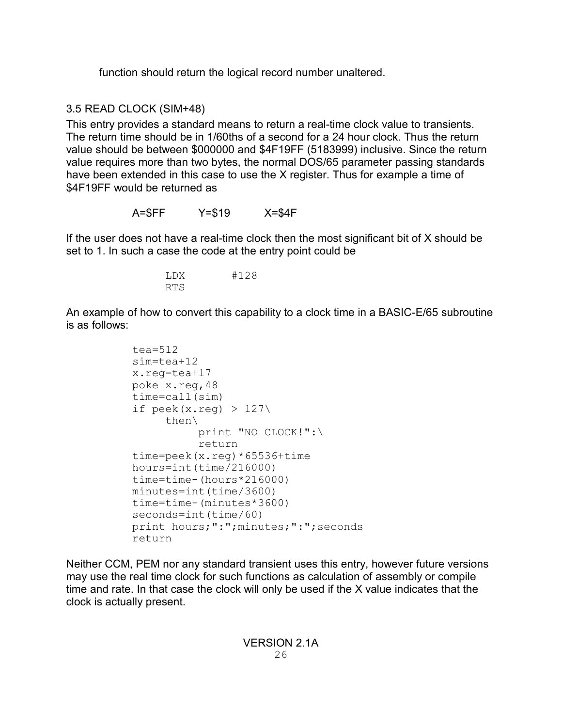function should return the logical record number unaltered.

## 3.5 READ CLOCK (SIM+48)

This entry provides a standard means to return a real-time clock value to transients. The return time should be in 1/60ths of a second for a 24 hour clock. Thus the return value should be between \$000000 and \$4F19FF (5183999) inclusive. Since the return value requires more than two bytes, the normal DOS/65 parameter passing standards have been extended in this case to use the X register. Thus for example a time of \$4F19FF would be returned as

A=\$FF Y=\$19 X=\$4F

If the user does not have a real-time clock then the most significant bit of X should be set to 1. In such a case the code at the entry point could be

> LDX #128 RTS

An example of how to convert this capability to a clock time in a BASIC-E/65 subroutine is as follows:

```
tea=512
sim=tea+12
x.reg=tea+17
poke x.reg,48
time=call(sim)
if \text{peek}(x.\text{req}) > 127\}then\
          print "NO CLOCK!":\
          return
time=peek(x.reg)*65536+time
hours=int(time/216000)
time=time-(hours*216000)
minutes=int(time/3600)
time=time-(minutes*3600)
seconds=int(time/60)
print hours;":";minutes;":";seconds
return
```
Neither CCM, PEM nor any standard transient uses this entry, however future versions may use the real time clock for such functions as calculation of assembly or compile time and rate. In that case the clock will only be used if the X value indicates that the clock is actually present.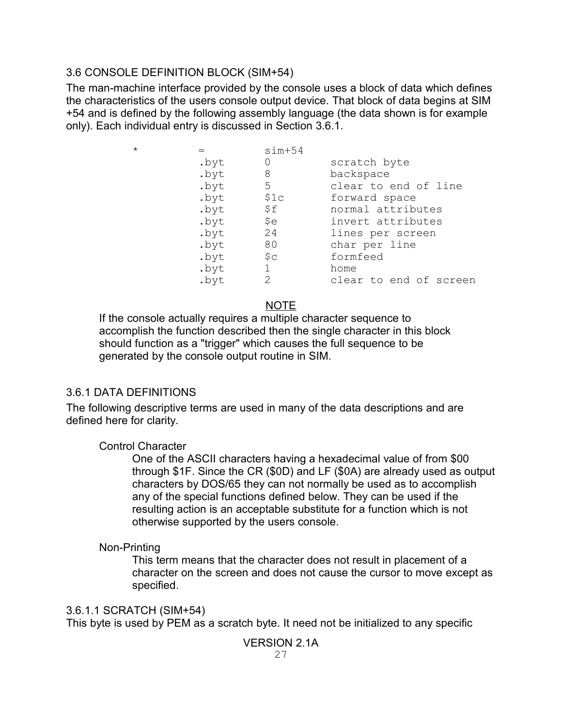### 3.6 CONSOLE DEFINITION BLOCK (SIM+54)

The man-machine interface provided by the console uses a block of data which defines the characteristics of the users console output device. That block of data begins at SIM +54 and is defined by the following assembly language (the data shown is for example only). Each individual entry is discussed in Section 3.6.1.

| scratch byte           |
|------------------------|
| backspace              |
| clear to end of line   |
| forward space          |
| normal attributes      |
| invert attributes      |
| lines per screen       |
| char per line          |
| formfeed               |
| home                   |
| clear to end of screen |
|                        |

## NOTE

If the console actually requires a multiple character sequence to accomplish the function described then the single character in this block should function as a "trigger" which causes the full sequence to be generated by the console output routine in SIM.

### 3.6.1 DATA DEFINITIONS

The following descriptive terms are used in many of the data descriptions and are defined here for clarity.

### Control Character

One of the ASCII characters having a hexadecimal value of from \$00 through \$1F. Since the CR (\$0D) and LF (\$0A) are already used as output characters by DOS/65 they can not normally be used as to accomplish any of the special functions defined below. They can be used if the resulting action is an acceptable substitute for a function which is not otherwise supported by the users console.

### Non-Printing

This term means that the character does not result in placement of a character on the screen and does not cause the cursor to move except as specified.

### 3.6.1.1 SCRATCH (SIM+54)

This byte is used by PEM as a scratch byte. It need not be initialized to any specific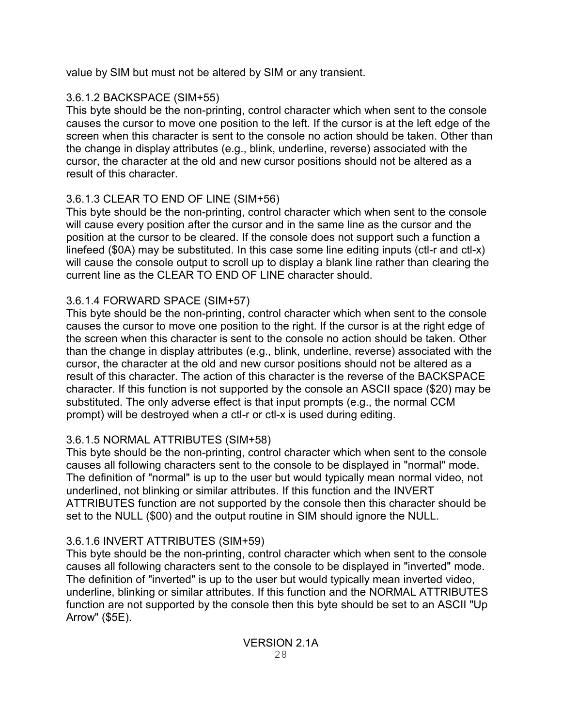value by SIM but must not be altered by SIM or any transient.

## 3.6.1.2 BACKSPACE (SIM+55)

This byte should be the non-printing, control character which when sent to the console causes the cursor to move one position to the left. If the cursor is at the left edge of the screen when this character is sent to the console no action should be taken. Other than the change in display attributes (e.g., blink, underline, reverse) associated with the cursor, the character at the old and new cursor positions should not be altered as a result of this character.

# 3.6.1.3 CLEAR TO END OF LINE (SIM+56)

This byte should be the non-printing, control character which when sent to the console will cause every position after the cursor and in the same line as the cursor and the position at the cursor to be cleared. If the console does not support such a function a linefeed (\$0A) may be substituted. In this case some line editing inputs (ctl-r and ctl-x) will cause the console output to scroll up to display a blank line rather than clearing the current line as the CLEAR TO END OF LINE character should.

## 3.6.1.4 FORWARD SPACE (SIM+57)

This byte should be the non-printing, control character which when sent to the console causes the cursor to move one position to the right. If the cursor is at the right edge of the screen when this character is sent to the console no action should be taken. Other than the change in display attributes (e.g., blink, underline, reverse) associated with the cursor, the character at the old and new cursor positions should not be altered as a result of this character. The action of this character is the reverse of the BACKSPACE character. If this function is not supported by the console an ASCII space (\$20) may be substituted. The only adverse effect is that input prompts (e.g., the normal CCM prompt) will be destroyed when a ctl-r or ctl-x is used during editing.

## 3.6.1.5 NORMAL ATTRIBUTES (SIM+58)

This byte should be the non-printing, control character which when sent to the console causes all following characters sent to the console to be displayed in "normal" mode. The definition of "normal" is up to the user but would typically mean normal video, not underlined, not blinking or similar attributes. If this function and the INVERT ATTRIBUTES function are not supported by the console then this character should be set to the NULL (\$00) and the output routine in SIM should ignore the NULL.

## 3.6.1.6 INVERT ATTRIBUTES (SIM+59)

This byte should be the non-printing, control character which when sent to the console causes all following characters sent to the console to be displayed in "inverted" mode. The definition of "inverted" is up to the user but would typically mean inverted video, underline, blinking or similar attributes. If this function and the NORMAL ATTRIBUTES function are not supported by the console then this byte should be set to an ASCII "Up Arrow" (\$5E).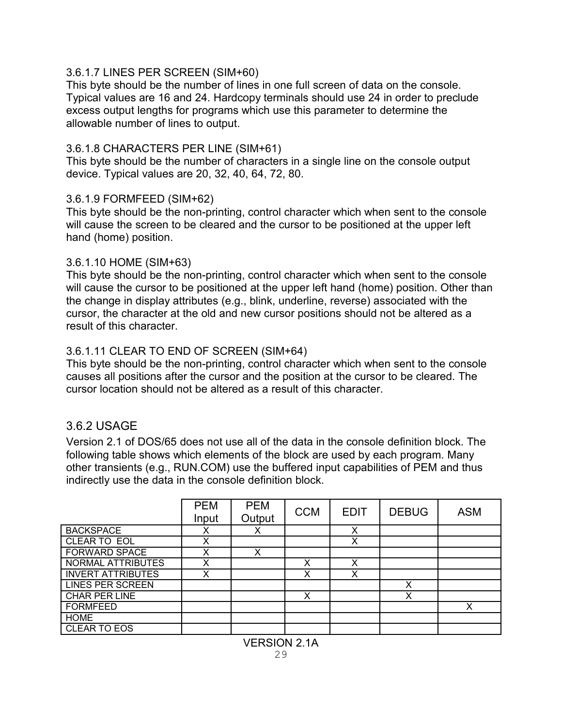#### 3.6.1.7 LINES PER SCREEN (SIM+60)

This byte should be the number of lines in one full screen of data on the console. Typical values are 16 and 24. Hardcopy terminals should use 24 in order to preclude excess output lengths for programs which use this parameter to determine the allowable number of lines to output.

#### 3.6.1.8 CHARACTERS PER LINE (SIM+61)

This byte should be the number of characters in a single line on the console output device. Typical values are 20, 32, 40, 64, 72, 80.

#### 3.6.1.9 FORMFEED (SIM+62)

This byte should be the non-printing, control character which when sent to the console will cause the screen to be cleared and the cursor to be positioned at the upper left hand (home) position.

#### 3.6.1.10 HOME (SIM+63)

This byte should be the non-printing, control character which when sent to the console will cause the cursor to be positioned at the upper left hand (home) position. Other than the change in display attributes (e.g., blink, underline, reverse) associated with the cursor, the character at the old and new cursor positions should not be altered as a result of this character.

### 3.6.1.11 CLEAR TO END OF SCREEN (SIM+64)

This byte should be the non-printing, control character which when sent to the console causes all positions after the cursor and the position at the cursor to be cleared. The cursor location should not be altered as a result of this character.

### 3.6.2 USAGE

Version 2.1 of DOS/65 does not use all of the data in the console definition block. The following table shows which elements of the block are used by each program. Many other transients (e.g., RUN.COM) use the buffered input capabilities of PEM and thus indirectly use the data in the console definition block.

|                          | <b>PEM</b><br>Input | <b>PEM</b><br>Output | <b>CCM</b> | <b>EDIT</b> | <b>DEBUG</b> | <b>ASM</b> |
|--------------------------|---------------------|----------------------|------------|-------------|--------------|------------|
|                          |                     |                      |            |             |              |            |
| <b>BACKSPACE</b>         | х                   | х                    |            | X           |              |            |
| CLEAR TO EOL             | X                   |                      |            | X           |              |            |
| <b>FORWARD SPACE</b>     | X                   | X                    |            |             |              |            |
| NORMAL ATTRIBUTES        | X                   |                      | x          | X           |              |            |
| <b>INVERT ATTRIBUTES</b> | X                   |                      | x          | X           |              |            |
| <b>LINES PER SCREEN</b>  |                     |                      |            |             | x            |            |
| CHAR PER LINE            |                     |                      | X          |             | Χ            |            |
| <b>FORMFEED</b>          |                     |                      |            |             |              | X          |
| <b>HOME</b>              |                     |                      |            |             |              |            |
| CLEAR TO EOS             |                     |                      |            |             |              |            |
|                          |                     |                      |            |             |              |            |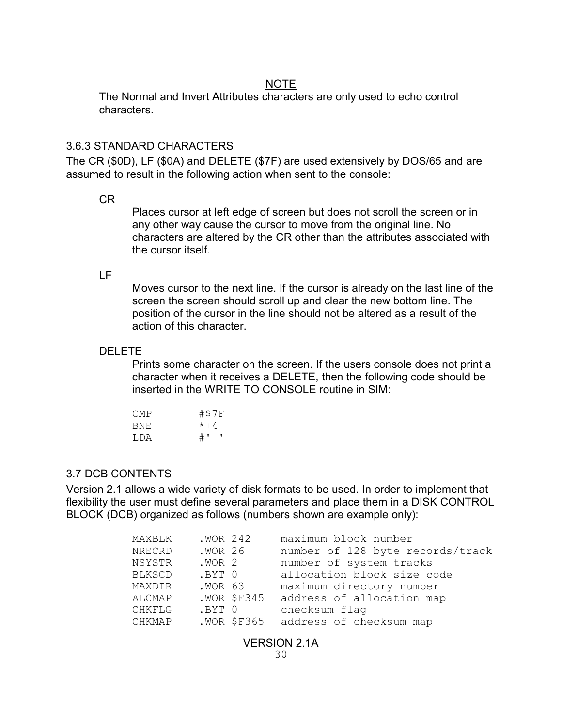#### NOTE

The Normal and Invert Attributes characters are only used to echo control characters.

#### 3.6.3 STANDARD CHARACTERS

The CR (\$0D), LF (\$0A) and DELETE (\$7F) are used extensively by DOS/65 and are assumed to result in the following action when sent to the console:

#### CR

Places cursor at left edge of screen but does not scroll the screen or in any other way cause the cursor to move from the original line. No characters are altered by the CR other than the attributes associated with the cursor itself.

#### LF

Moves cursor to the next line. If the cursor is already on the last line of the screen the screen should scroll up and clear the new bottom line. The position of the cursor in the line should not be altered as a result of the action of this character.

#### DELETE

Prints some character on the screen. If the users console does not print a character when it receives a DELETE, then the following code should be inserted in the WRITE TO CONSOLE routine in SIM:

| CMP | #\$7F |
|-----|-------|
| BNE | $*+4$ |
| LDA | #' '  |

#### 3.7 DCB CONTENTS

Version 2.1 allows a wide variety of disk formats to be used. In order to implement that flexibility the user must define several parameters and place them in a DISK CONTROL BLOCK (DCB) organized as follows (numbers shown are example only):

| MAXBLK | .WOR 242          |               | maximum block number             |
|--------|-------------------|---------------|----------------------------------|
| NRECRD | .WOR 26           |               | number of 128 byte records/track |
| NSYSTR | .WOR <sub>2</sub> |               | number of system tracks          |
| BLKSCD | .BYT 0            |               | allocation block size code       |
| MAXDIR | .WOR 63           |               | maximum directory number         |
| ALCMAP |                   | $.WOR$ \$F345 | address of allocation map        |
| CHKFLG | .BYT 0            |               | checksum flag                    |
| CHKMAP |                   | .WOR \$F365   | address of checksum map          |
|        |                   |               |                                  |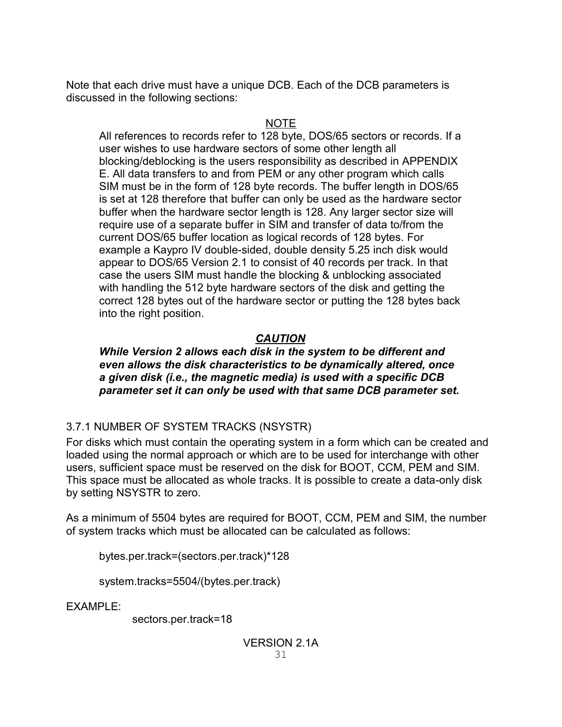Note that each drive must have a unique DCB. Each of the DCB parameters is discussed in the following sections:

#### NOTE

All references to records refer to 128 byte, DOS/65 sectors or records. If a user wishes to use hardware sectors of some other length all blocking/deblocking is the users responsibility as described in APPENDIX E. All data transfers to and from PEM or any other program which calls SIM must be in the form of 128 byte records. The buffer length in DOS/65 is set at 128 therefore that buffer can only be used as the hardware sector buffer when the hardware sector length is 128. Any larger sector size will require use of a separate buffer in SIM and transfer of data to/from the current DOS/65 buffer location as logical records of 128 bytes. For example a Kaypro IV double-sided, double density 5.25 inch disk would appear to DOS/65 Version 2.1 to consist of 40 records per track. In that case the users SIM must handle the blocking & unblocking associated with handling the 512 byte hardware sectors of the disk and getting the correct 128 bytes out of the hardware sector or putting the 128 bytes back into the right position.

## *CAUTION*

#### *While Version 2 allows each disk in the system to be different and even allows the disk characteristics to be dynamically altered, once a given disk (i.e., the magnetic media) is used with a specific DCB parameter set it can only be used with that same DCB parameter set.*

## 3.7.1 NUMBER OF SYSTEM TRACKS (NSYSTR)

For disks which must contain the operating system in a form which can be created and loaded using the normal approach or which are to be used for interchange with other users, sufficient space must be reserved on the disk for BOOT, CCM, PEM and SIM. This space must be allocated as whole tracks. It is possible to create a data-only disk by setting NSYSTR to zero.

As a minimum of 5504 bytes are required for BOOT, CCM, PEM and SIM, the number of system tracks which must be allocated can be calculated as follows:

bytes.per.track=(sectors.per.track)\*128

system.tracks=5504/(bytes.per.track)

EXAMPLE:

sectors.per.track=18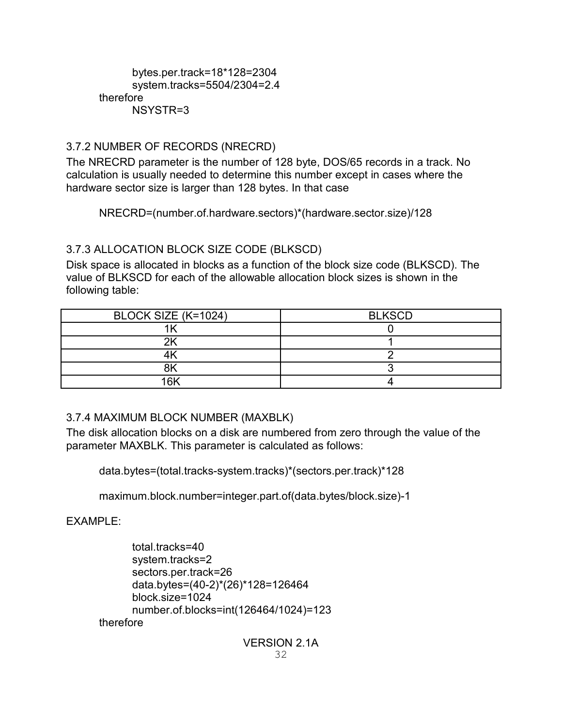#### bytes.per.track=18\*128=2304 system.tracks=5504/2304=2.4 therefore NSYSTR=3

### 3.7.2 NUMBER OF RECORDS (NRECRD)

The NRECRD parameter is the number of 128 byte, DOS/65 records in a track. No calculation is usually needed to determine this number except in cases where the hardware sector size is larger than 128 bytes. In that case

NRECRD=(number.of.hardware.sectors)\*(hardware.sector.size)/128

#### 3.7.3 ALLOCATION BLOCK SIZE CODE (BLKSCD)

Disk space is allocated in blocks as a function of the block size code (BLKSCD). The value of BLKSCD for each of the allowable allocation block sizes is shown in the following table:

| BLOCK SIZE (K=1024) | <b>BLKSCD</b> |
|---------------------|---------------|
|                     |               |
|                     |               |
|                     |               |
|                     |               |
| <b>AV</b>           |               |

### 3.7.4 MAXIMUM BLOCK NUMBER (MAXBLK)

The disk allocation blocks on a disk are numbered from zero through the value of the parameter MAXBLK. This parameter is calculated as follows:

data.bytes=(total.tracks-system.tracks)\*(sectors.per.track)\*128

maximum.block.number=integer.part.of(data.bytes/block.size)-1

EXAMPLE:

total.tracks=40 system.tracks=2 sectors.per.track=26 data.bytes=(40-2)\*(26)\*128=126464 block.size=1024 number.of.blocks=int(126464/1024)=123 therefore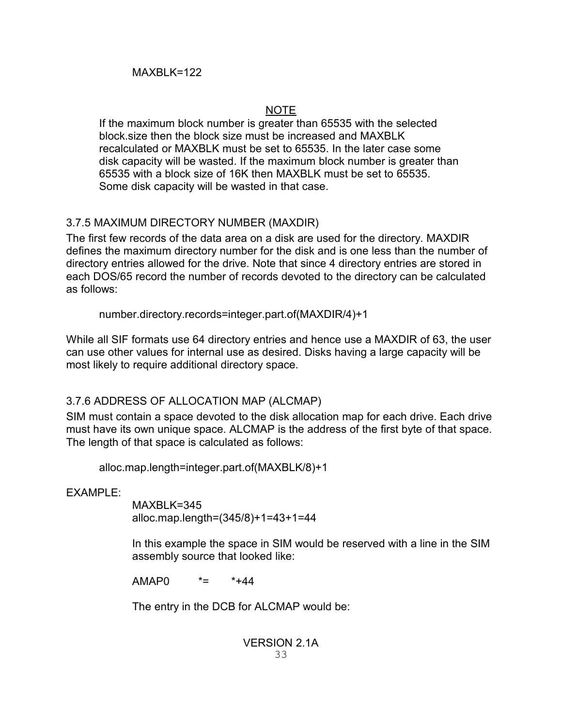## NOTE

If the maximum block number is greater than 65535 with the selected block.size then the block size must be increased and MAXBLK recalculated or MAXBLK must be set to 65535. In the later case some disk capacity will be wasted. If the maximum block number is greater than 65535 with a block size of 16K then MAXBLK must be set to 65535. Some disk capacity will be wasted in that case.

## 3.7.5 MAXIMUM DIRECTORY NUMBER (MAXDIR)

The first few records of the data area on a disk are used for the directory. MAXDIR defines the maximum directory number for the disk and is one less than the number of directory entries allowed for the drive. Note that since 4 directory entries are stored in each DOS/65 record the number of records devoted to the directory can be calculated as follows:

number.directory.records=integer.part.of(MAXDIR/4)+1

While all SIF formats use 64 directory entries and hence use a MAXDIR of 63, the user can use other values for internal use as desired. Disks having a large capacity will be most likely to require additional directory space.

## 3.7.6 ADDRESS OF ALLOCATION MAP (ALCMAP)

SIM must contain a space devoted to the disk allocation map for each drive. Each drive must have its own unique space. ALCMAP is the address of the first byte of that space. The length of that space is calculated as follows:

alloc.map.length=integer.part.of(MAXBLK/8)+1

**EXAMPLE:** 

MAXBLK=345 alloc.map.length=(345/8)+1=43+1=44

In this example the space in SIM would be reserved with a line in the SIM assembly source that looked like:

AMAP0 \*= \*+44

The entry in the DCB for ALCMAP would be: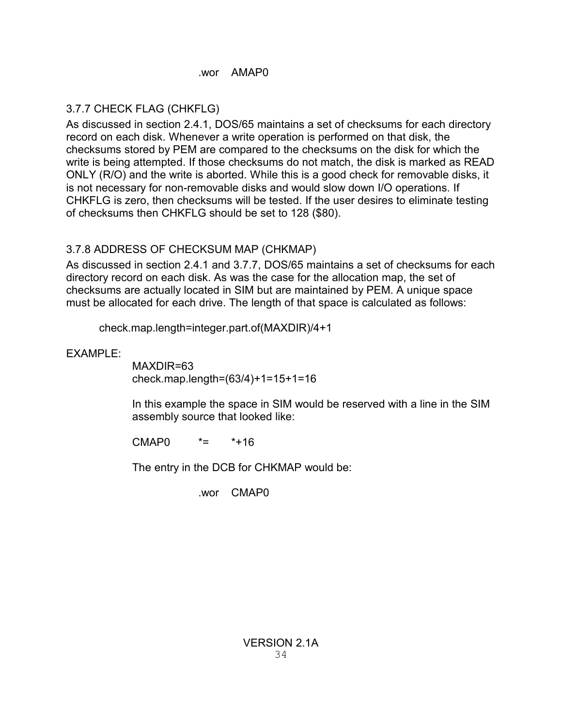#### .wor AMAP0

## 3.7.7 CHECK FLAG (CHKFLG)

As discussed in section 2.4.1, DOS/65 maintains a set of checksums for each directory record on each disk. Whenever a write operation is performed on that disk, the checksums stored by PEM are compared to the checksums on the disk for which the write is being attempted. If those checksums do not match, the disk is marked as READ ONLY (R/O) and the write is aborted. While this is a good check for removable disks, it is not necessary for non-removable disks and would slow down I/O operations. If CHKFLG is zero, then checksums will be tested. If the user desires to eliminate testing of checksums then CHKFLG should be set to 128 (\$80).

## 3.7.8 ADDRESS OF CHECKSUM MAP (CHKMAP)

As discussed in section 2.4.1 and 3.7.7, DOS/65 maintains a set of checksums for each directory record on each disk. As was the case for the allocation map, the set of checksums are actually located in SIM but are maintained by PEM. A unique space must be allocated for each drive. The length of that space is calculated as follows:

check.map.length=integer.part.of(MAXDIR)/4+1

EXAMPLE:

MAXDIR=63 check.map.length=(63/4)+1=15+1=16

In this example the space in SIM would be reserved with a line in the SIM assembly source that looked like:

CMAP0 \*= \*+16

The entry in the DCB for CHKMAP would be:

.wor CMAP0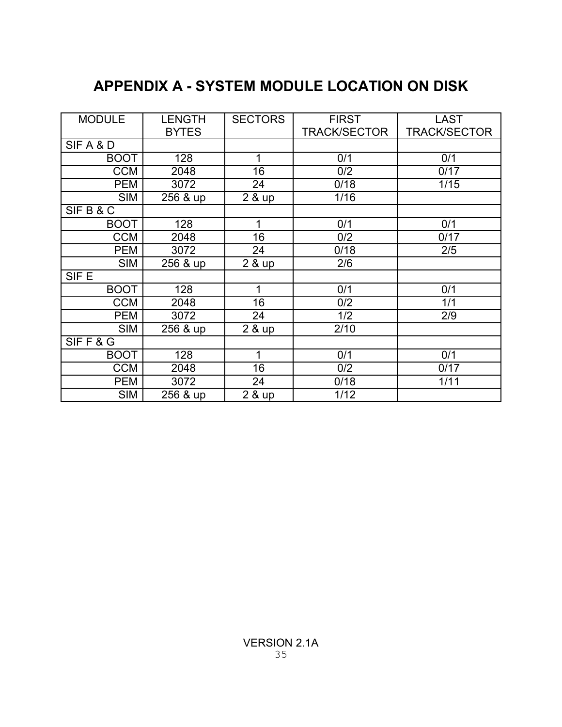# **APPENDIX A - SYSTEM MODULE LOCATION ON DISK**

| <b>MODULE</b>    | <b>LENGTH</b> | <b>SECTORS</b> | <b>FIRST</b>        | <b>LAST</b>         |
|------------------|---------------|----------------|---------------------|---------------------|
|                  | <b>BYTES</b>  |                | <b>TRACK/SECTOR</b> | <b>TRACK/SECTOR</b> |
| SIFA&D           |               |                |                     |                     |
| <b>BOOT</b>      | 128           | 1              | 0/1                 | 0/1                 |
| <b>CCM</b>       | 2048          | 16             | 0/2                 | 0/17                |
| <b>PEM</b>       | 3072          | 24             | 0/18                | 1/15                |
| <b>SIM</b>       | 256 & up      | 2 & up         | 1/16                |                     |
| SIFB&C           |               |                |                     |                     |
| <b>BOOT</b>      | 128           | 1              | 0/1                 | 0/1                 |
| <b>CCM</b>       | 2048          | 16             | 0/2                 | 0/17                |
| <b>PEM</b>       | 3072          | 24             | 0/18                | 2/5                 |
| <b>SIM</b>       | 256 & up      | 2 & up         | 2/6                 |                     |
| SIF <sub>E</sub> |               |                |                     |                     |
| <b>BOOT</b>      | 128           | 1              | 0/1                 | 0/1                 |
| <b>CCM</b>       | 2048          | 16             | 0/2                 | 1/1                 |
| <b>PEM</b>       | 3072          | 24             | 1/2                 | 2/9                 |
| <b>SIM</b>       | 256 & up      | 2 & up         | 2/10                |                     |
| SIFF&G           |               |                |                     |                     |
| <b>BOOT</b>      | 128           | 1              | 0/1                 | 0/1                 |
| <b>CCM</b>       | 2048          | 16             | 0/2                 | 0/17                |
| <b>PEM</b>       | 3072          | 24             | 0/18                | 1/11                |
| <b>SIM</b>       | 256 & up      | 2 & up         | 1/12                |                     |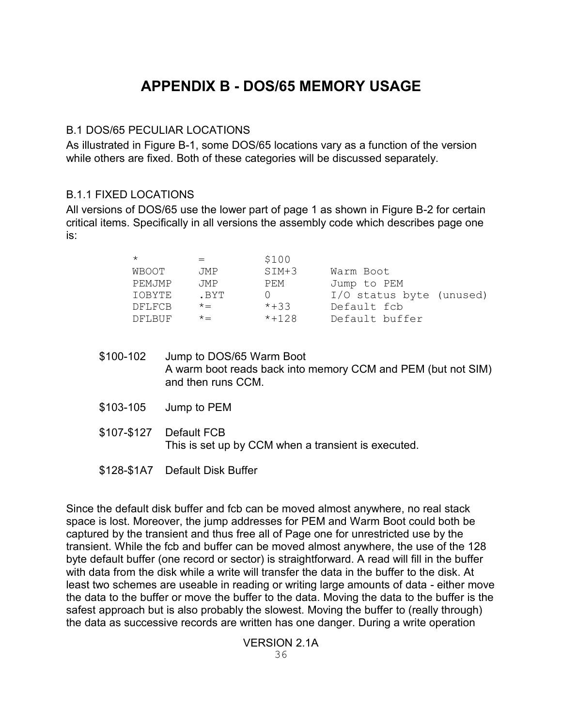# **APPENDIX B - DOS/65 MEMORY USAGE**

#### B.1 DOS/65 PECULIAR LOCATIONS

As illustrated in Figure B-1, some DOS/65 locations vary as a function of the version while others are fixed. Both of these categories will be discussed separately.

#### B.1.1 FIXED LOCATIONS

All versions of DOS/65 use the lower part of page 1 as shown in Figure B-2 for certain critical items. Specifically in all versions the assembly code which describes page one is:

|        |            | \$100   |                          |
|--------|------------|---------|--------------------------|
| WBOOT  | <b>JMP</b> | $SIM+3$ | Warm Boot                |
| PEMJMP | <b>JMP</b> | PEM     | Jump to PEM              |
| TOBYTE | . BYT      |         | I/O status byte (unused) |
| DFLFCB | $x =$      | $*+33$  | Default fcb              |
| DFLBUF | $x =$      | $*+128$ | Default buffer           |

- \$100-102 Jump to DOS/65 Warm Boot A warm boot reads back into memory CCM and PEM (but not SIM) and then runs CCM.
- \$103-105 Jump to PEM
- \$107-\$127 Default FCB This is set up by CCM when a transient is executed.
- \$128-\$1A7 Default Disk Buffer

Since the default disk buffer and fcb can be moved almost anywhere, no real stack space is lost. Moreover, the jump addresses for PEM and Warm Boot could both be captured by the transient and thus free all of Page one for unrestricted use by the transient. While the fcb and buffer can be moved almost anywhere, the use of the 128 byte default buffer (one record or sector) is straightforward. A read will fill in the buffer with data from the disk while a write will transfer the data in the buffer to the disk. At least two schemes are useable in reading or writing large amounts of data - either move the data to the buffer or move the buffer to the data. Moving the data to the buffer is the safest approach but is also probably the slowest. Moving the buffer to (really through) the data as successive records are written has one danger. During a write operation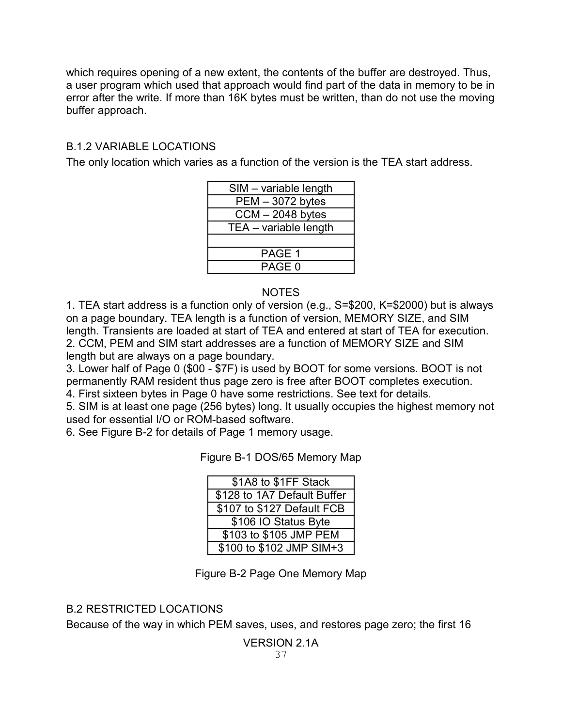which requires opening of a new extent, the contents of the buffer are destroyed. Thus, a user program which used that approach would find part of the data in memory to be in error after the write. If more than 16K bytes must be written, than do not use the moving buffer approach.

## B.1.2 VARIABLE LOCATIONS

The only location which varies as a function of the version is the TEA start address.

| SIM - variable length |
|-----------------------|
| PEM - 3072 bytes      |
| $CCM - 2048$ bytes    |
| TEA - variable length |
|                       |
| PAGE 1                |
| PAGE 0                |
|                       |

#### NOTES

1. TEA start address is a function only of version (e.g., S=\$200, K=\$2000) but is always on a page boundary. TEA length is a function of version, MEMORY SIZE, and SIM length. Transients are loaded at start of TEA and entered at start of TEA for execution. 2. CCM, PEM and SIM start addresses are a function of MEMORY SIZE and SIM length but are always on a page boundary.

3. Lower half of Page 0 (\$00 - \$7F) is used by BOOT for some versions. BOOT is not permanently RAM resident thus page zero is free after BOOT completes execution.

4. First sixteen bytes in Page 0 have some restrictions. See text for details.

5. SIM is at least one page (256 bytes) long. It usually occupies the highest memory not used for essential I/O or ROM-based software.

6. See Figure B-2 for details of Page 1 memory usage.

Figure B-1 DOS/65 Memory Map

| \$1A8 to \$1FF Stack        |
|-----------------------------|
| \$128 to 1A7 Default Buffer |
| \$107 to \$127 Default FCB  |
| \$106 IO Status Byte        |
| \$103 to \$105 JMP PEM      |
| \$100 to \$102 JMP SIM+3    |

Figure B-2 Page One Memory Map

## B.2 RESTRICTED LOCATIONS

Because of the way in which PEM saves, uses, and restores page zero; the first 16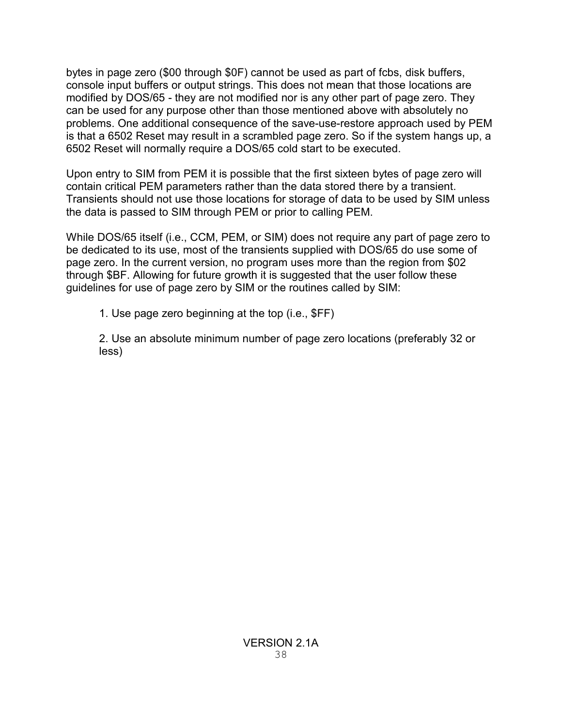bytes in page zero (\$00 through \$0F) cannot be used as part of fcbs, disk buffers, console input buffers or output strings. This does not mean that those locations are modified by DOS/65 - they are not modified nor is any other part of page zero. They can be used for any purpose other than those mentioned above with absolutely no problems. One additional consequence of the save-use-restore approach used by PEM is that a 6502 Reset may result in a scrambled page zero. So if the system hangs up, a 6502 Reset will normally require a DOS/65 cold start to be executed.

Upon entry to SIM from PEM it is possible that the first sixteen bytes of page zero will contain critical PEM parameters rather than the data stored there by a transient. Transients should not use those locations for storage of data to be used by SIM unless the data is passed to SIM through PEM or prior to calling PEM.

While DOS/65 itself (i.e., CCM, PEM, or SIM) does not require any part of page zero to be dedicated to its use, most of the transients supplied with DOS/65 do use some of page zero. In the current version, no program uses more than the region from \$02 through \$BF. Allowing for future growth it is suggested that the user follow these guidelines for use of page zero by SIM or the routines called by SIM:

1. Use page zero beginning at the top (i.e., \$FF)

2. Use an absolute minimum number of page zero locations (preferably 32 or less)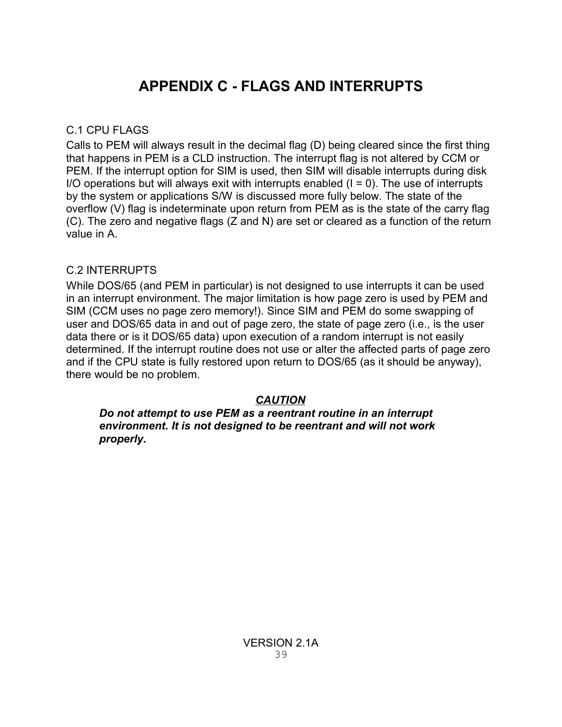# **APPENDIX C - FLAGS AND INTERRUPTS**

### C.1 CPU FLAGS

Calls to PEM will always result in the decimal flag (D) being cleared since the first thing that happens in PEM is a CLD instruction. The interrupt flag is not altered by CCM or PEM. If the interrupt option for SIM is used, then SIM will disable interrupts during disk I/O operations but will always exit with interrupts enabled  $(I = 0)$ . The use of interrupts by the system or applications S/W is discussed more fully below. The state of the overflow (V) flag is indeterminate upon return from PEM as is the state of the carry flag (C). The zero and negative flags (Z and N) are set or cleared as a function of the return value in A.

### C.2 INTERRUPTS

While DOS/65 (and PEM in particular) is not designed to use interrupts it can be used in an interrupt environment. The major limitation is how page zero is used by PEM and SIM (CCM uses no page zero memory!). Since SIM and PEM do some swapping of user and DOS/65 data in and out of page zero, the state of page zero (i.e., is the user data there or is it DOS/65 data) upon execution of a random interrupt is not easily determined. If the interrupt routine does not use or alter the affected parts of page zero and if the CPU state is fully restored upon return to DOS/65 (as it should be anyway), there would be no problem.

## *CAUTION*

*Do not attempt to use PEM as a reentrant routine in an interrupt environment. It is not designed to be reentrant and will not work properly.*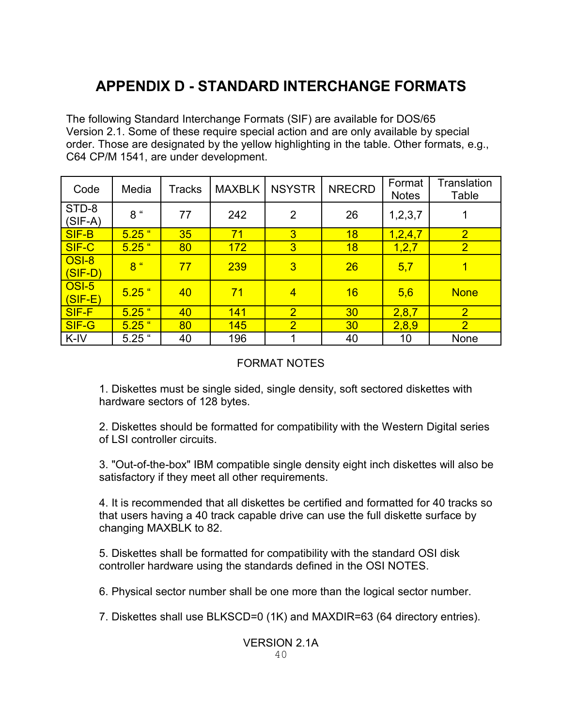# **APPENDIX D - STANDARD INTERCHANGE FORMATS**

The following Standard Interchange Formats (SIF) are available for DOS/65 Version 2.1. Some of these require special action and are only available by special order. Those are designated by the yellow highlighting in the table. Other formats, e.g., C64 CP/M 1541, are under development.

| Code               | Media          | Tracks | <b>MAXBLK</b> | <b>NSYSTR</b>  | <b>NRECRD</b> | Format<br><b>Notes</b> | <b>Translation</b><br>Table |
|--------------------|----------------|--------|---------------|----------------|---------------|------------------------|-----------------------------|
| STD-8<br>$(SIF-A)$ | 8 "            | 77     | 242           | $\overline{2}$ | 26            | 1, 2, 3, 7             | 1                           |
| SIF-B              | $5.25$ "       | 35     | 71            | $\overline{3}$ | 18            | 1,2,4,7                | $\overline{2}$              |
| SIF-C              | $5.25$ "       | 80     | 172           | $\overline{3}$ | 18            | 1, 2, 7                | $\overline{2}$              |
| OSI-8<br>(SIF-D)   | 8 <sup>4</sup> | 77     | 239           | $\overline{3}$ | 26            | 5,7                    | 1                           |
| OSI-5<br>$(SIF-E)$ | $5.25$ "       | 40     | 71            | $\overline{4}$ | 16            | 5,6                    | <b>None</b>                 |
| <b>SIF-F</b>       | $5.25$ "       | 40     | 141           | $\overline{2}$ | 30            | 2,8,7                  | $\overline{2}$              |
| SIF-G              | $5.25$ "       | 80     | 145           | $\overline{2}$ | 30            | 2,8,9                  | $\overline{2}$              |
| K-IV               | $5.25$ "       | 40     | 196           |                | 40            | 10                     | <b>None</b>                 |

## FORMAT NOTES

1. Diskettes must be single sided, single density, soft sectored diskettes with hardware sectors of 128 bytes.

2. Diskettes should be formatted for compatibility with the Western Digital series of LSI controller circuits.

3. "Out-of-the-box" IBM compatible single density eight inch diskettes will also be satisfactory if they meet all other requirements.

4. It is recommended that all diskettes be certified and formatted for 40 tracks so that users having a 40 track capable drive can use the full diskette surface by changing MAXBLK to 82.

5. Diskettes shall be formatted for compatibility with the standard OSI disk controller hardware using the standards defined in the OSI NOTES.

6. Physical sector number shall be one more than the logical sector number.

7. Diskettes shall use BLKSCD=0 (1K) and MAXDIR=63 (64 directory entries).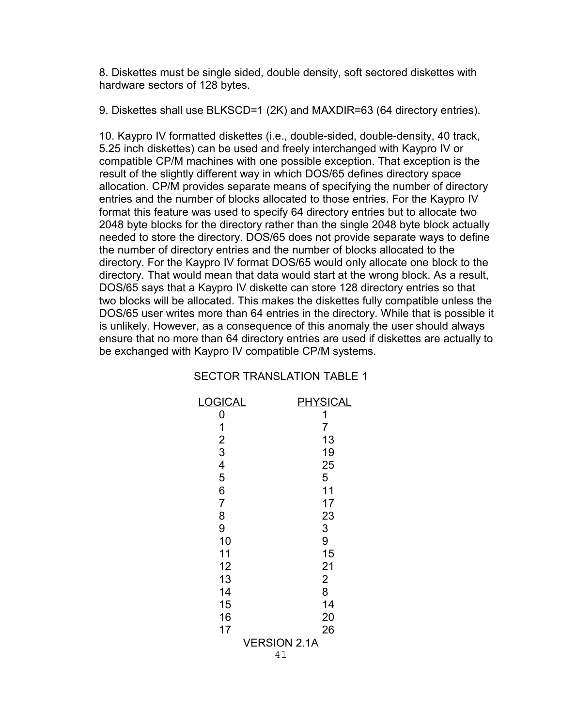8. Diskettes must be single sided, double density, soft sectored diskettes with hardware sectors of 128 bytes.

9. Diskettes shall use BLKSCD=1 (2K) and MAXDIR=63 (64 directory entries).

10. Kaypro IV formatted diskettes (i.e., double-sided, double-density, 40 track, 5.25 inch diskettes) can be used and freely interchanged with Kaypro IV or compatible CP/M machines with one possible exception. That exception is the result of the slightly different way in which DOS/65 defines directory space allocation. CP/M provides separate means of specifying the number of directory entries and the number of blocks allocated to those entries. For the Kaypro IV format this feature was used to specify 64 directory entries but to allocate two 2048 byte blocks for the directory rather than the single 2048 byte block actually needed to store the directory. DOS/65 does not provide separate ways to define the number of directory entries and the number of blocks allocated to the directory. For the Kaypro IV format DOS/65 would only allocate one block to the directory. That would mean that data would start at the wrong block. As a result, DOS/65 says that a Kaypro IV diskette can store 128 directory entries so that two blocks will be allocated. This makes the diskettes fully compatible unless the DOS/65 user writes more than 64 entries in the directory. While that is possible it is unlikely. However, as a consequence of this anomaly the user should always ensure that no more than 64 directory entries are used if diskettes are actually to be exchanged with Kaypro IV compatible CP/M systems.

#### SECTOR TRANSLATION TABLE 1

| OGICAL                  | <u> IYSICAL</u>           |
|-------------------------|---------------------------|
| 0                       | 1                         |
| 1                       | 7                         |
| $\overline{2}$          | 13                        |
| 3                       | 19                        |
| $\overline{\mathbf{4}}$ | 25                        |
| 5                       | 5                         |
| 6                       | 11                        |
| $\overline{7}$          | 17                        |
| 8                       | 23                        |
| 9                       | 3                         |
| 10                      | 9                         |
| 11                      | 15                        |
| 12                      | 21                        |
| 13                      | $\overline{2}$            |
| 14                      | 8                         |
| 15                      | 14                        |
| 16                      | 20                        |
| 17                      | 26                        |
|                         | <b>VERSION 2.1A</b><br>41 |
|                         |                           |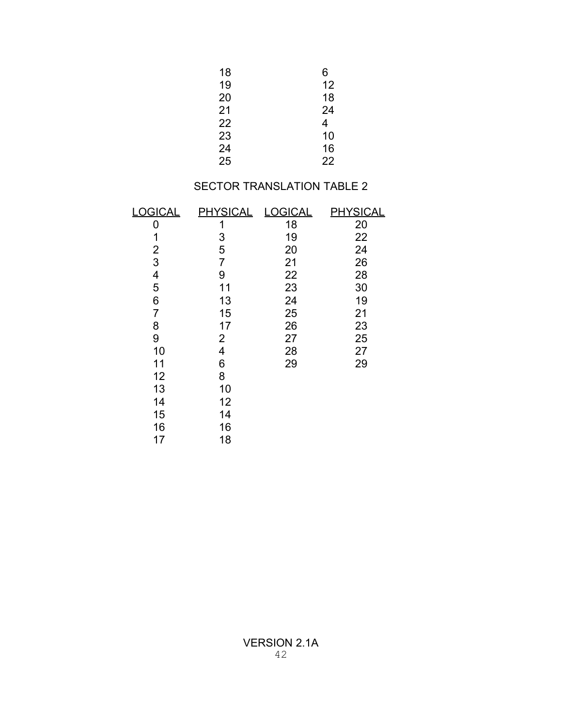| 18 | 6  |
|----|----|
| 19 | 12 |
| 20 | 18 |
| 21 | 24 |
| 22 | 4  |
| 23 | 10 |
| 24 | 16 |
| 25 | 22 |

## SECTOR TRANSLATION TABLE 2

| <b>LOGICAL</b> | <u>PHYSICAL</u> | <b>LOGICAL</b> | <u>PHYSICAL</u> |
|----------------|-----------------|----------------|-----------------|
| 0              | 1               | 18             | 20              |
| 1              | 3               | 19             | 22              |
| 2              | 5               | 20             | 24              |
| 3              | 7               | 21             | 26              |
| 4              | 9               | 22             | 28              |
| 5              | 11              | 23             | 30              |
| 6              | 13              | 24             | 19              |
| 7              | 15              | 25             | 21              |
| 8              | 17              | 26             | 23              |
| 9              | 2               | 27             | 25              |
| 10             | 4               | 28             | 27              |
| 11             | 6               | 29             | 29              |
| 12             | 8               |                |                 |
| 13             | 10              |                |                 |
| 14             | 12              |                |                 |
| 15             | 14              |                |                 |
| 16             | 16              |                |                 |
| 17             | 18              |                |                 |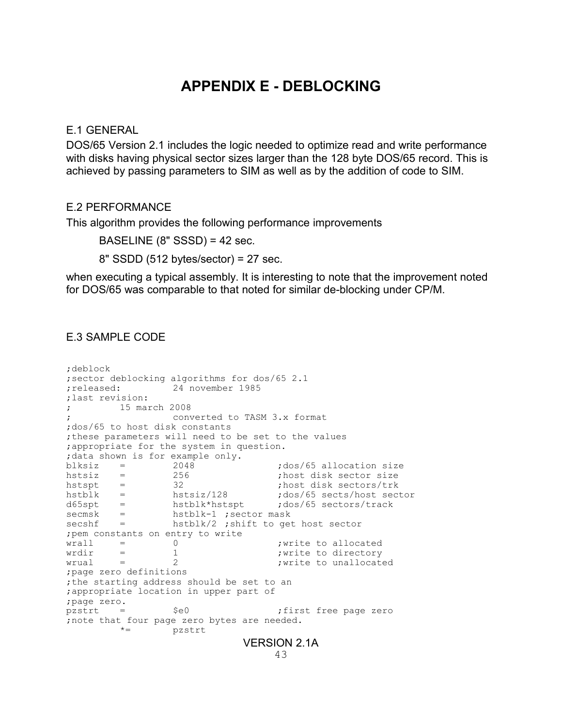# **APPENDIX E - DEBLOCKING**

#### E.1 GENERAL

DOS/65 Version 2.1 includes the logic needed to optimize read and write performance with disks having physical sector sizes larger than the 128 byte DOS/65 record. This is achieved by passing parameters to SIM as well as by the addition of code to SIM.

#### E.2 PERFORMANCE

This algorithm provides the following performance improvements

BASELINE (8" SSSD) = 42 sec.

8" SSDD (512 bytes/sector) = 27 sec.

when executing a typical assembly. It is interesting to note that the improvement noted for DOS/65 was comparable to that noted for similar de-blocking under CP/M.

#### E.3 SAMPLE CODE

```
;deblock
;sector deblocking algorithms for dos/65 2.1
;released: 24 november 1985
;last revision:
; 15 march 2008
                ; converted to TASM 3.x format
;dos/65 to host disk constants
;these parameters will need to be set to the values
;appropriate for the system in question.
;data shown is for example only.
blksiz = 2048 ;dos/65 allocation size
hstsiz = 256 ;host disk sector size
hstspt = 32 ;host disk sectors/trk
hstblk = hstsiz/128 ;dos/65 sects/host sector
d65spt = hstblk*hstspt ;dos/65 sectors/track
secmsk = hstblk-1 ; sector mask
secshf = hstblk/2 ;shift to get host sector
;pem constants on entry to write
\begin{array}{rcl}\n\text{wral1} & = & 0 \\
\text{wral2} & = & 1\n\end{array} ; write to allocated ;
      = 1 <br>= 1 ;write to directory<br>;write to unallocat
wrual = 2 ;write to unallocated
;page zero definitions
;the starting address should be set to an
;appropriate location in upper part of
;page zero.
pzstrt = $e0 ;first free page zero
;note that four page zero bytes are needed.
        *= pzstrt
                           VERSION 2.1A
```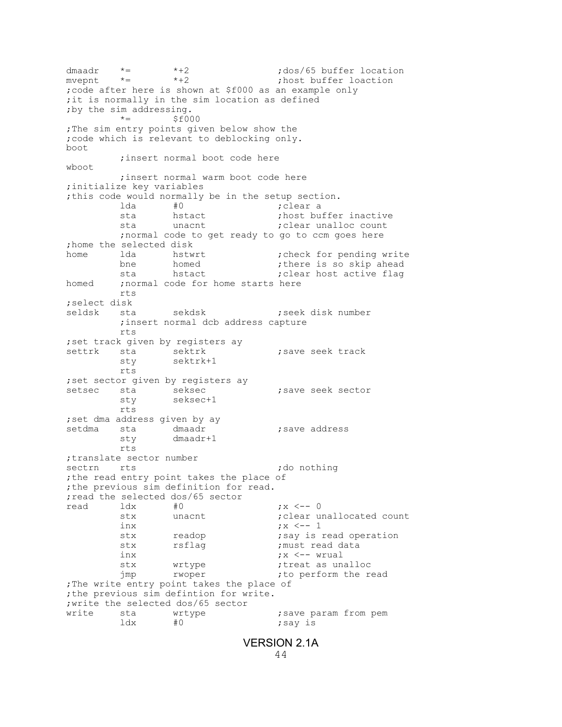dmaadr  $*$  =  $*$ +2 ;dos/65 buffer location<br>myepnt  $*$  =  $*$ +2 ;host buffer loaction mvepnt \*= \*+2 ;host buffer loaction ;code after here is shown at \$f000 as an example only ;it is normally in the sim location as defined by the sim addressing.<br> $* =$  \$f000 \*= \$f000 ;The sim entry points given below show the ;code which is relevant to deblocking only. boot ;insert normal boot code here wboot ;insert normal warm boot code here ;initialize key variables ;this code would normally be in the setup section. ;clear a sta hstact **in** the sta hstact the sta unalloc count<br>
sta unacnt the standard telecont ; clear unalloc count ;normal code to get ready to go to ccm goes here ;home the selected disk home 1da hstwrt ;check for pending write bne homed ;there is so skip ahead<br>sta hstact :clear host active flag sta hstact **in the set is stated host active flag** homed ; normal code for home starts here rts ;select disk seldsk sta sekdsk **;**seek disk number ;insert normal dcb address capture rts ; set track given by registers ay settrk sta sektrk ; save seek track sty sektrk+1 rts ;set sector given by registers ay setsec sta seksec ; save seek sector sty seksec+1 rts ; set dma address given by ay setdma sta dmaadr **;**save address sty dmaadr+1 rts ;translate sector number sectrn rts ;do nothing ; the read entry point takes the place of ;the previous sim definition for read. ;read the selected dos/65 sector read 1dx #0 ;x <-- 0<br>stx unacnt ;clear u ; clear unallocated count inx ;x <-- 1 stx readop **;**say is read operation stx rsflag **;**must read data inx  $\qquad \qquad ;x < - -$  wrual stx wrtype  $\begin{array}{ccc} 1 & \text{if } x \neq 0 \\ \text{if } x = 0 \\ \text{if } x = 1 \end{array}$  sum and  $\begin{array}{ccc} 1 & \text{if } x = 0 \\ \text{if } x = 0 \\ \text{if } x = 0 \end{array}$ jmp rwoper ;to perform the read ;The write entry point takes the place of ;the previous sim defintion for write. ;write the selected dos/65 sector write sta wrtype **;** save param from pem ldx  $\#0$  ; say is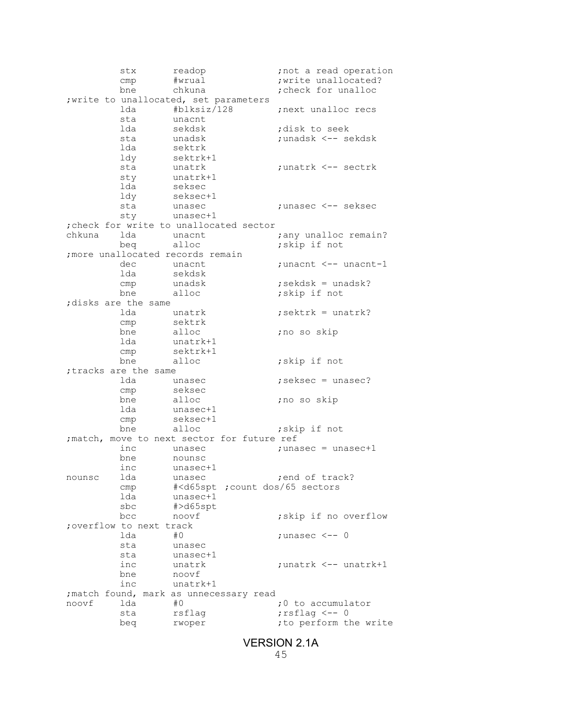stx readop ;not a read operation cmp #wrual ;write unallocated?<br>bne chkuna ;check for unalloc ; check for unalloc ; write to unallocated, set parameters lda #blksiz/128 ;next unalloc recs sta unacnt<br>lda sekdsk lda sekdsk seek ;disk to seek<br>dangda seks :unadsk <-- seks sta unadsk ;unadsk <-- sekdsk<br>1da sektrk sektrk ldy sektrk+1 sta unatrk ;unatrk <-- sectrk sty unatrk+1<br>lda seksec lda seksec<br>ldy seksec+ seksec+1<br>unasec sta unasec ;unasec <-- seksec sty unasec+1 ;check for write to unallocated sector chkuna lda unacnt **industrial is that** the chunalloc remain?<br>
beg alloc **industrial is the contract to the contract to the contract to the contract to the chunal contract to the contract of the chunch chunch chunch and chu** beq alloc ; skip if not ;more unallocated records remain dec unacnt ;unacnt <-- unacnt-1<br>lda sekdsk sekdsk<br>unadsk cmp unadsk  $;$  sekdsk = unadsk?<br>bne alloc  $;$  skip if not ;skip if not ;disks are the same lda unatrk **;**sektrk = unatrk?<br>
cmp sektrk cmp sektrk<br>bne alloc ;no so skip lda unatrk+1 cmp sektrk+1 bne alloc **i**skip if not ;tracks are the same lda unasec ;seksec = unasec? cmp seksec<br>bne alloc bne alloc ;no so skip<br>lda unasec+1 unasec+1 cmp seksec+1<br>bne alloc ;skip if not ; match, move to next sector for future ref<br>inc unasec ; una  $;$  unasec = unasec +1 bne nounsc inc unasec+1 nounsc lda unasec **in the lead of track?** cmp #<d65spt ;count dos/65 sectors lda unasec+1 sbc #>d65spt<br>bcc noovf ; skip if no overflow ;overflow to next track ;unasec  $<-$ - 0 sta unasec<br>sta unasec+ sta unasec+1<br>inc unatrk inc unatrk  $\leftarrow$  ;unatrk  $\leftarrow$  - unatrk+1<br>bne noovf noovf inc unatrk+1 ; match found, mark as unnecessary read noovf 1da #0 ;0 to accumulator sta rsflag *;rsflag <--* 0 beg rwoper ;to perform the write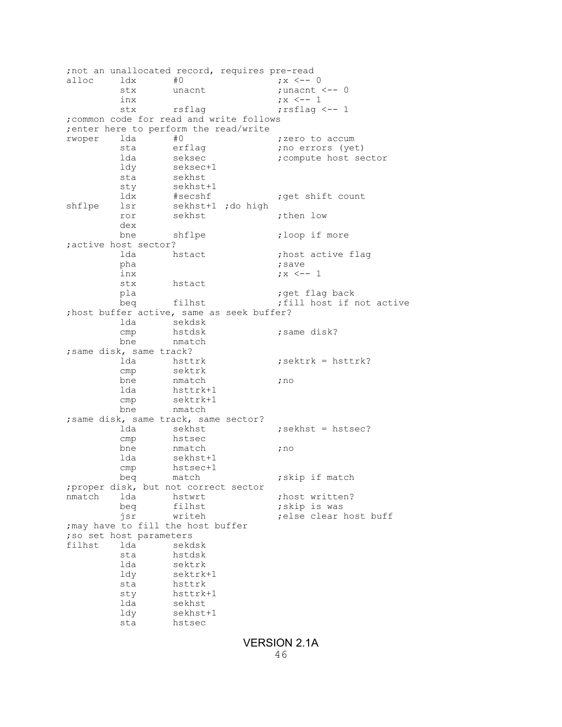;not an unallocated record, requires pre-read alloc ldx #0 ;x <-- 0<br>stx unacnt ;unacnt ; stx unacnt ;unacnt <-- 0<br>inx ;x <-- 1 inx ;x <-- 1 stx rsflag *rsflag rsflag* <-- 1 ;common code for read and write follows ; enter here to perform the read/write<br>rwoper lda #0 rwoper lda #0 ;zero to accum sta erflag ;no errors (yet) lda seksec **;**compute host sector<br>ldy seksec+1 ldy seksec+1 sta sekhst<br>sty sekhst sty sekhst+1<br>ldx #secshf ldx #secshf ;get shift count shflpe lsr sekhst+1 ;do high ror sekhst ;then low dex bne shflpe **;**loop if more ;active host sector? lda hstact **in the flage in the flage is a** task to the flage is a vector of the same is a vector of the same is  $\frac{1}{100}$  is a vector of the same is a vector of the same is a vector of the same is a vector of the same i pha ;save inx <br>stx <br>hstact <br>  $\begin{array}{ccc} & & \\ & x & & \\ & & \\ \end{array}$ hstact pla ;get flag back beq filhst ;fill host if not active ;host buffer active, same as seek buffer? lda sekdsk ; same disk? bne nmatch ;same disk, same track? lda hsttrk ;sektrk = hsttrk? cmp sektrk bne nmatch **;**no<br>lda hsttrk+1 hsttrk+1 cmp sektrk+1<br>bne nmatch nmatch ;same disk, same track, same sector?  $;\text{sekhst = hstsec?}$ cmp hstsec<br>bne nmatch hmatch ;no lda sekhst+1 cmp hstsec+1 beq match  $;$  skip if match ;proper disk, but not correct sector nmatch lda hstwrt ;host written?<br>beg filhst :skip is was beq filhst  $\begin{array}{ccc} 1 & 1 & 1 \\ 1 & 1 & 1 \\ 1 & 1 & 1 \\ 1 & 1 & 1 \\ 1 & 1 & 1 \\ 1 & 1 & 1 \\ 1 & 1 & 1 \\ 1 & 1 & 1 \\ 1 & 1 & 1 \\ 1 & 1 & 1 \\ 1 & 1 & 1 \\ 1 & 1 & 1 \\ 1 & 1 & 1 \\ 1 & 1 & 1 \\ 1 & 1 & 1 \\ 1 & 1 & 1 \\ 1 & 1 & 1 \\ 1 & 1 & 1 \\ 1 & 1 & 1 \\ 1 & 1 & 1 & 1 \\ 1 & 1 & 1 & 1 \\ 1 & 1 & 1$ ; else clear host buff ;may have to fill the host buffer ;so set host parameters lda sekdsk<br>sta hstdsk sta hstdsk<br>lda sektrk lda sektrk<br>ldy sektrk sektrk+1 sta hsttrk sty hsttrk+1 lda sekhst ldy sekhst+1 sta hstsec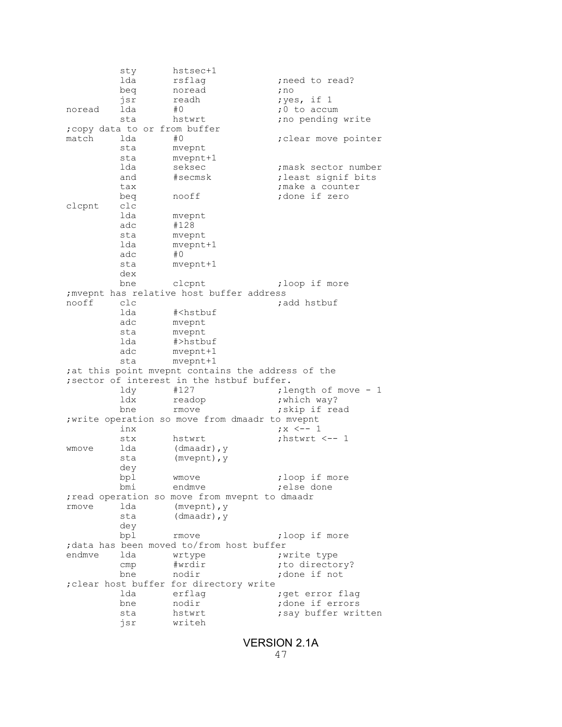sty hstsec+1 lda rsflag ;need to read?<br>beq noread ;no beq noread<br>jsr readh ;yes, if 1 noread 1da #0 ;0 to accum sta hstwrt **;**no pending write ;copy data to or from buffer match lda #0 ;clear move pointer sta mvepnt sta mvepnt+1<br>lda seksec lda seksec **in itles in seksector number**<br>and #secmsk **i** least signif bits and #secmsk ; least signif bits<br>tax ; make a counter tax ;make a counter beq nooff ;done if zero<br>clc clcpnt lda mvepnt<br>adc #128 #128 sta mvepnt lda mvepnt+1<br>adc #0 adc sta mvepnt+1 dex<br>bne clcpnt ;loop if more ; mvepnt has relative host buffer address<br>nooff clc  $\alpha$ nooff clc ;add hstbuf lda #<hstbuf<br>adc mvepnt adc mvepnt<br>sta mvepnt mvepnt lda #>hstbuf adc mvepnt+1 sta mvepnt+1 ; at this point mvepnt contains the address of the ; sector of interest in the hstbuf buffer.<br>ldv #127 ; le ldy #127 ;length of move - 1 ldx readop ;which way? rmove  $;$  skip if read ;write operation so move from dmaadr to mvepnt inx <br>stx <br>hstwrt <br>hstwrt <br>hstwrt <br>hstwrt stx hstwrt ;hstwrt <-- 1<br>1da (dmaadr), y wmove lda (dmaadr),y sta (mvepnt), y dey bpl wmove ;loop if more bmi endmve **;**else done ;read operation so move from mvepnt to dmaadr rmove 1da (mvepnt), y<br>sta (dmaadr), y (dmaadr), y dey<br>bpl rmove  $\qquad \qquad ;\text{loop if more}$ %;data has been moved to/from host buffer<br>endmve lda wrtype ; endmve lda wrtype  $\begin{array}{ccc} \text{endmove} & \text{if} \text{write type} \\ \text{cmp} & \text{fwdir} & \text{if} \text{to direct} \end{array}$ cmp #wrdir ;to directory?<br>bne nodir ;done if not ;done if not ;clear host buffer for directory write lda erflag **;**get error flag bne nodir  $\begin{array}{ccc} \text{; done if errors} \\ \text{; say buffer wri} \end{array}$ sta hstwrt **;**say buffer written jsr writeh